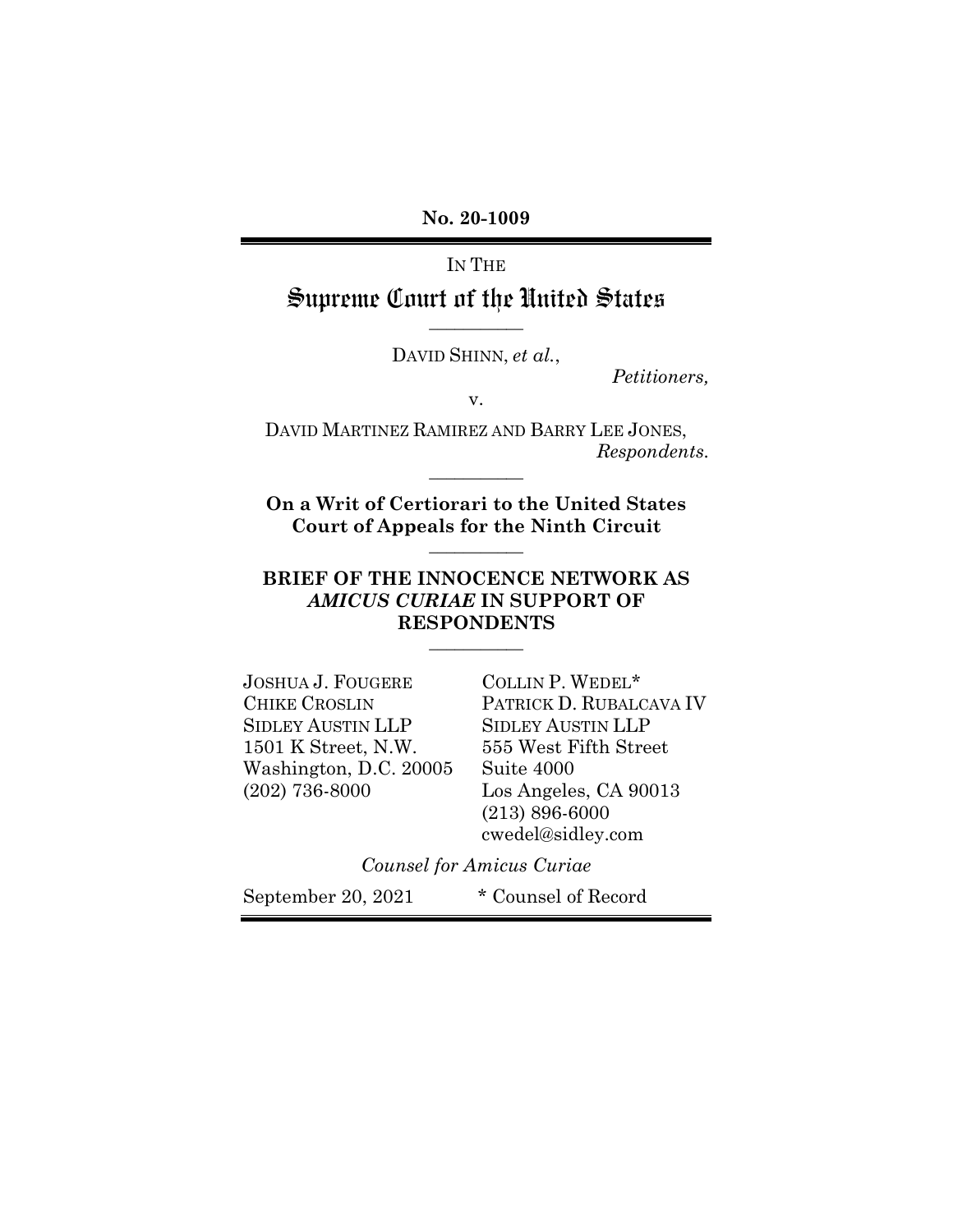**No. 20-1009**

# IN THE Supreme Court of the United States

**\_\_\_\_\_\_\_\_\_\_\_**

DAVID SHINN, *et al.*,

*Petitioners,*

v.

DAVID MARTINEZ RAMIREZ AND BARRY LEE JONES, *Respondents.* **\_\_\_\_\_\_\_\_\_\_\_**

**On a Writ of Certiorari to the United States Court of Appeals for the Ninth Circuit \_\_\_\_\_\_\_\_\_\_\_**

## **BRIEF OF THE INNOCENCE NETWORK AS**  *AMICUS CURIAE* **IN SUPPORT OF RESPONDENTS**

**\_\_\_\_\_\_\_\_\_\_\_**

JOSHUA J. FOUGERE CHIKE CROSLIN SIDLEY AUSTIN LLP 1501 K Street, N.W. Washington, D.C. 20005 (202) 736-8000

COLLIN P. WEDEL\* PATRICK D. RUBALCAVA IV SIDLEY AUSTIN LLP 555 West Fifth Street Suite 4000 Los Angeles, CA 90013 (213) 896-6000 cwedel@sidley.com

*Counsel for Amicus Curiae*

September 20, 2021 \* Counsel of Record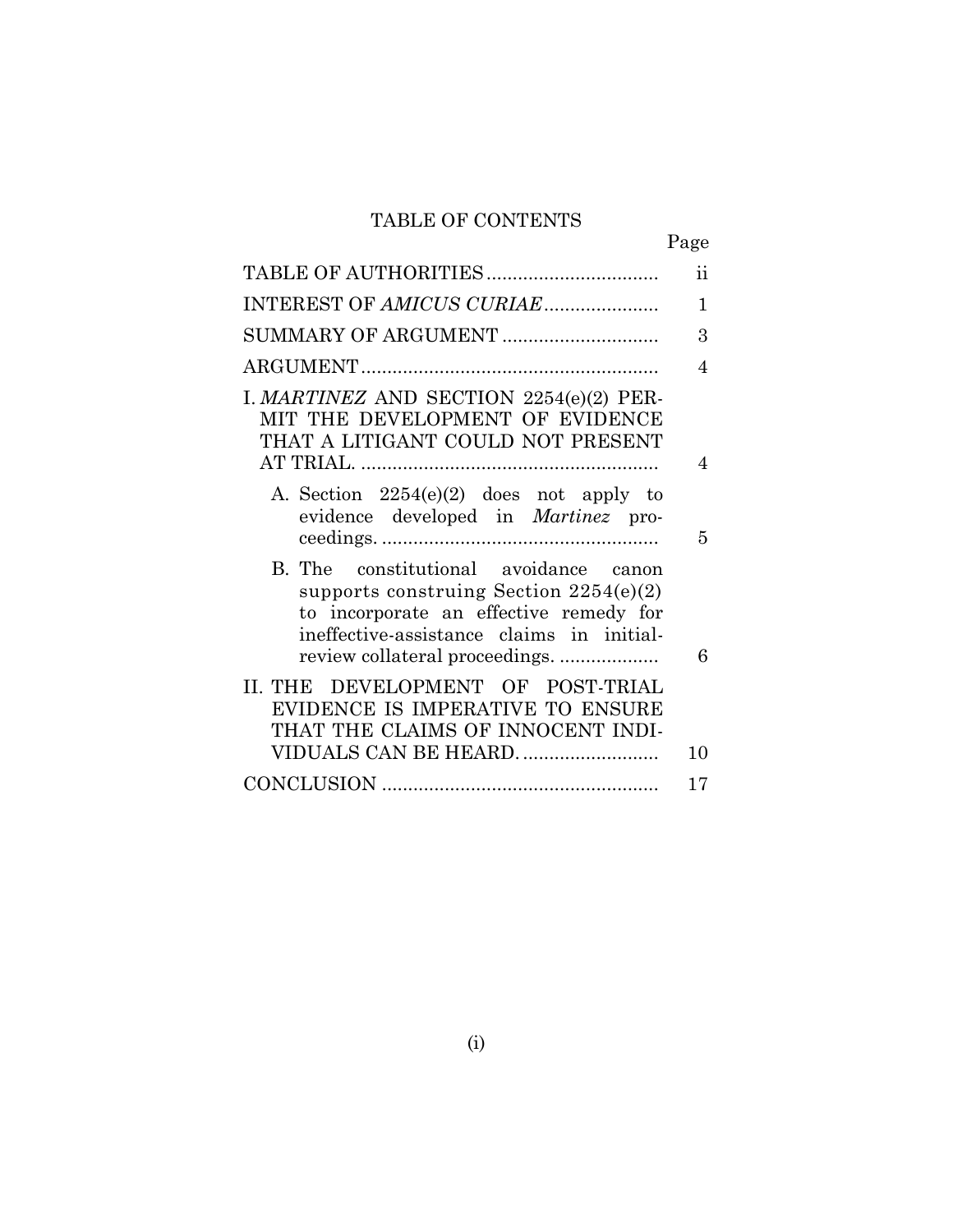# TABLE OF CONTENTS

|                                                                                                                                                                                                            | $\rm ii$       |
|------------------------------------------------------------------------------------------------------------------------------------------------------------------------------------------------------------|----------------|
| INTEREST OF AMICUS CURIAE                                                                                                                                                                                  | $\mathbf{1}$   |
|                                                                                                                                                                                                            | 3              |
|                                                                                                                                                                                                            | $\overline{4}$ |
| I. MARTINEZ AND SECTION 2254(e)(2) PER-<br>MIT THE DEVELOPMENT OF EVIDENCE<br>THAT A LITIGANT COULD NOT PRESENT                                                                                            | $\overline{4}$ |
| A. Section $2254(e)(2)$ does not apply to<br>evidence developed in <i>Martinez</i> pro-                                                                                                                    | 5              |
| B. The constitutional avoidance canon<br>supports construing Section $2254(e)(2)$<br>to incorporate an effective remedy for<br>ineffective-assistance claims in initial-<br>review collateral proceedings. | 6              |
| II. THE DEVELOPMENT OF POST-TRIAL<br>EVIDENCE IS IMPERATIVE TO ENSURE<br>THAT THE CLAIMS OF INNOCENT INDI-                                                                                                 |                |
| VIDUALS CAN BE HEARD                                                                                                                                                                                       | 10             |
|                                                                                                                                                                                                            | 17             |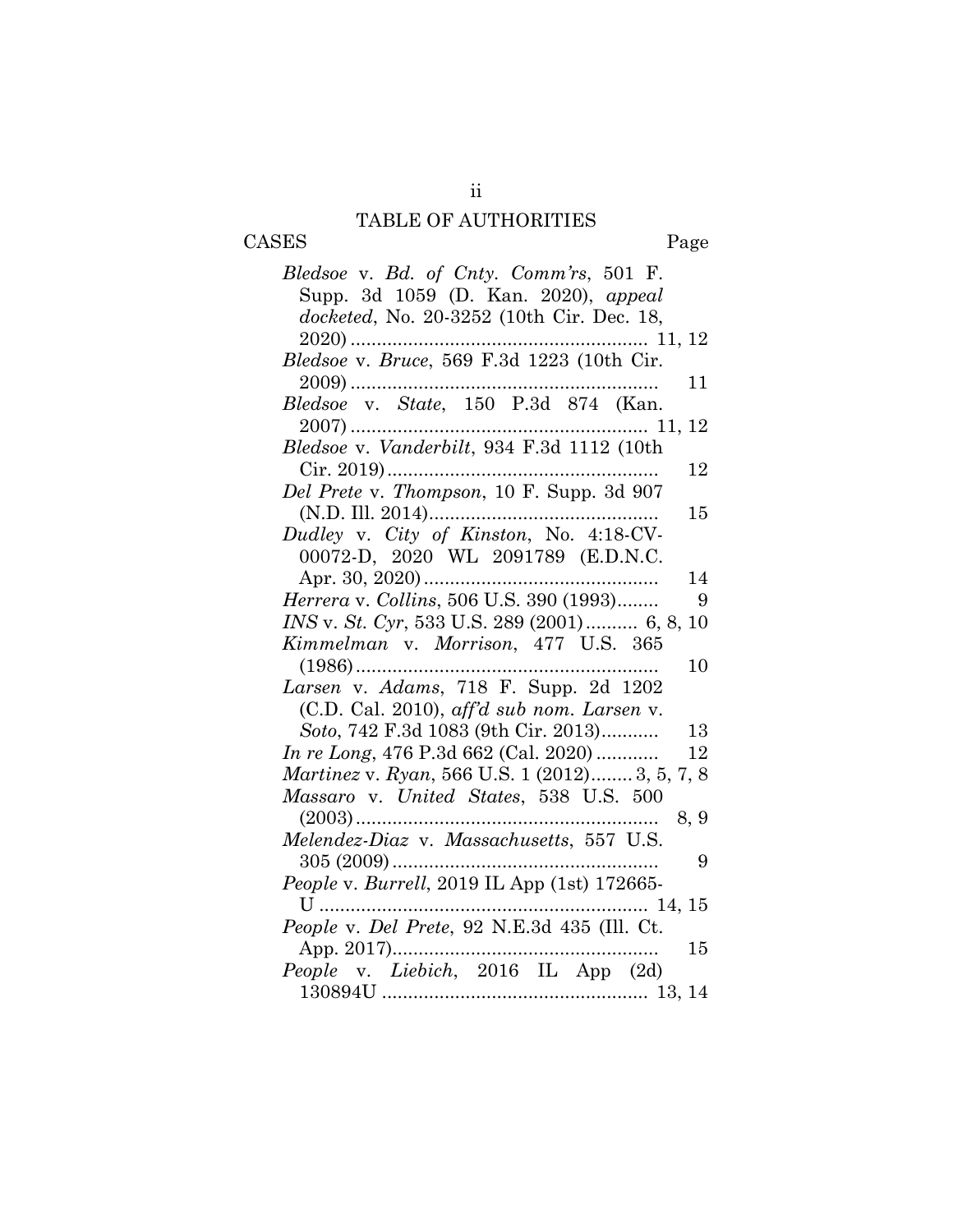# <span id="page-2-0"></span>TABLE OF AUTHORITIES CASES Page

| Bledsoe v. Bd. of Cnty. Comm'rs, 501 F.<br>Supp. 3d 1059 (D. Kan. 2020), appeal<br>docketed, No. 20-3252 (10th Cir. Dec. 18, |
|------------------------------------------------------------------------------------------------------------------------------|
|                                                                                                                              |
|                                                                                                                              |
| 11                                                                                                                           |
|                                                                                                                              |
|                                                                                                                              |
| Bledsoe v. Vanderbilt, 934 F.3d 1112 (10th                                                                                   |
| 12                                                                                                                           |
| Del Prete v. Thompson, 10 F. Supp. 3d 907                                                                                    |
| 15<br>Dudley v. City of Kinston, No. 4:18-CV-                                                                                |
| 00072-D, 2020 WL 2091789 (E.D.N.C.                                                                                           |
| 14                                                                                                                           |
| Herrera v. Collins, 506 U.S. 390 (1993)<br>9                                                                                 |
| INS v. St. Cyr, 533 U.S. 289 (2001) 6, 8, 10                                                                                 |
| Kimmelman v. Morrison, 477 U.S. 365                                                                                          |
| $(1986)$<br>10                                                                                                               |
| Larsen v. Adams, 718 F. Supp. 2d 1202                                                                                        |
| $(C.D. Cal. 2010)$ , aff'd sub nom. Larsen v.                                                                                |
| Soto, 742 F.3d 1083 (9th Cir. 2013)<br>13                                                                                    |
| <i>In re Long</i> , 476 P.3d 662 (Cal. 2020)<br>12                                                                           |
| <i>Martinez v. Ryan, 566 U.S. 1 (2012) 3, 5, 7, 8</i>                                                                        |
| Massaro v. United States, 538 U.S. 500                                                                                       |
| 8, 9                                                                                                                         |
| Melendez-Diaz v. Massachusetts, 557 U.S.                                                                                     |
| $305(2009)$<br>9                                                                                                             |
| People v. Burrell, 2019 IL App (1st) 172665-                                                                                 |
|                                                                                                                              |
| People v. Del Prete, 92 N.E.3d 435 (Ill. Ct.                                                                                 |
| 15                                                                                                                           |
|                                                                                                                              |
|                                                                                                                              |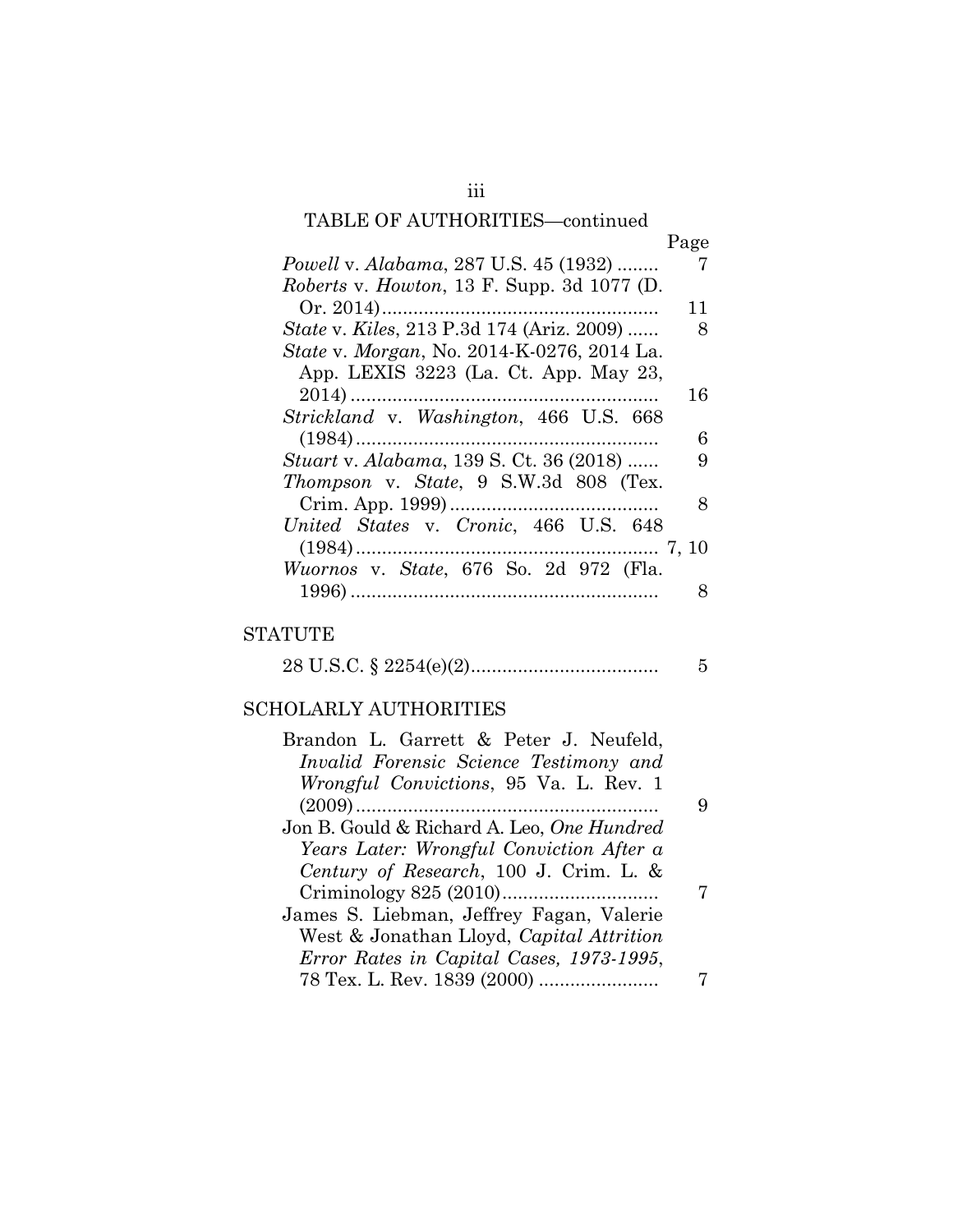# TABLE OF AUTHORITIES—continued

| Page<br>Powell v. Alabama, 287 U.S. 45 (1932)<br>7<br>Roberts v. Howton, 13 F. Supp. 3d 1077 (D.<br>11<br><i>State v. Kiles, 213 P.3d 174 (Ariz. 2009) </i><br>8<br><i>State v. Morgan, No.</i> 2014-K-0276, 2014 La.<br>App. LEXIS 3223 (La. Ct. App. May 23,<br>16<br>Strickland v. Washington, 466 U.S. 668<br>6<br><i>Stuart v. Alabama, 139 S. Ct. 36 (2018) </i><br>9<br>Thompson v. State, 9 S.W.3d 808 (Tex.<br>8<br>United States v. Cronic, 466 U.S. 648<br>Wuornos v. State, 676 So. 2d 972 (Fla.<br>8 |  |
|-------------------------------------------------------------------------------------------------------------------------------------------------------------------------------------------------------------------------------------------------------------------------------------------------------------------------------------------------------------------------------------------------------------------------------------------------------------------------------------------------------------------|--|
|                                                                                                                                                                                                                                                                                                                                                                                                                                                                                                                   |  |
|                                                                                                                                                                                                                                                                                                                                                                                                                                                                                                                   |  |
|                                                                                                                                                                                                                                                                                                                                                                                                                                                                                                                   |  |
|                                                                                                                                                                                                                                                                                                                                                                                                                                                                                                                   |  |
|                                                                                                                                                                                                                                                                                                                                                                                                                                                                                                                   |  |
|                                                                                                                                                                                                                                                                                                                                                                                                                                                                                                                   |  |
|                                                                                                                                                                                                                                                                                                                                                                                                                                                                                                                   |  |
|                                                                                                                                                                                                                                                                                                                                                                                                                                                                                                                   |  |
|                                                                                                                                                                                                                                                                                                                                                                                                                                                                                                                   |  |
|                                                                                                                                                                                                                                                                                                                                                                                                                                                                                                                   |  |
|                                                                                                                                                                                                                                                                                                                                                                                                                                                                                                                   |  |
|                                                                                                                                                                                                                                                                                                                                                                                                                                                                                                                   |  |
|                                                                                                                                                                                                                                                                                                                                                                                                                                                                                                                   |  |
|                                                                                                                                                                                                                                                                                                                                                                                                                                                                                                                   |  |
|                                                                                                                                                                                                                                                                                                                                                                                                                                                                                                                   |  |
|                                                                                                                                                                                                                                                                                                                                                                                                                                                                                                                   |  |
|                                                                                                                                                                                                                                                                                                                                                                                                                                                                                                                   |  |

# STATUTE

|--|--|--|

# SCHOLARLY AUTHORITIES

| Brandon L. Garrett & Peter J. Neufeld,            |   |
|---------------------------------------------------|---|
| Invalid Forensic Science Testimony and            |   |
| <i>Wrongful Convictions</i> , 95 Va. L. Rev. 1    |   |
|                                                   | 9 |
| Jon B. Gould & Richard A. Leo, <i>One Hundred</i> |   |
| Years Later: Wrongful Conviction After a          |   |
| Century of Research, 100 J. Crim. L. &            |   |
|                                                   |   |
| James S. Liebman, Jeffrey Fagan, Valerie          |   |
| West & Jonathan Lloyd, Capital Attrition          |   |
| Error Rates in Capital Cases, 1973-1995,          |   |
|                                                   |   |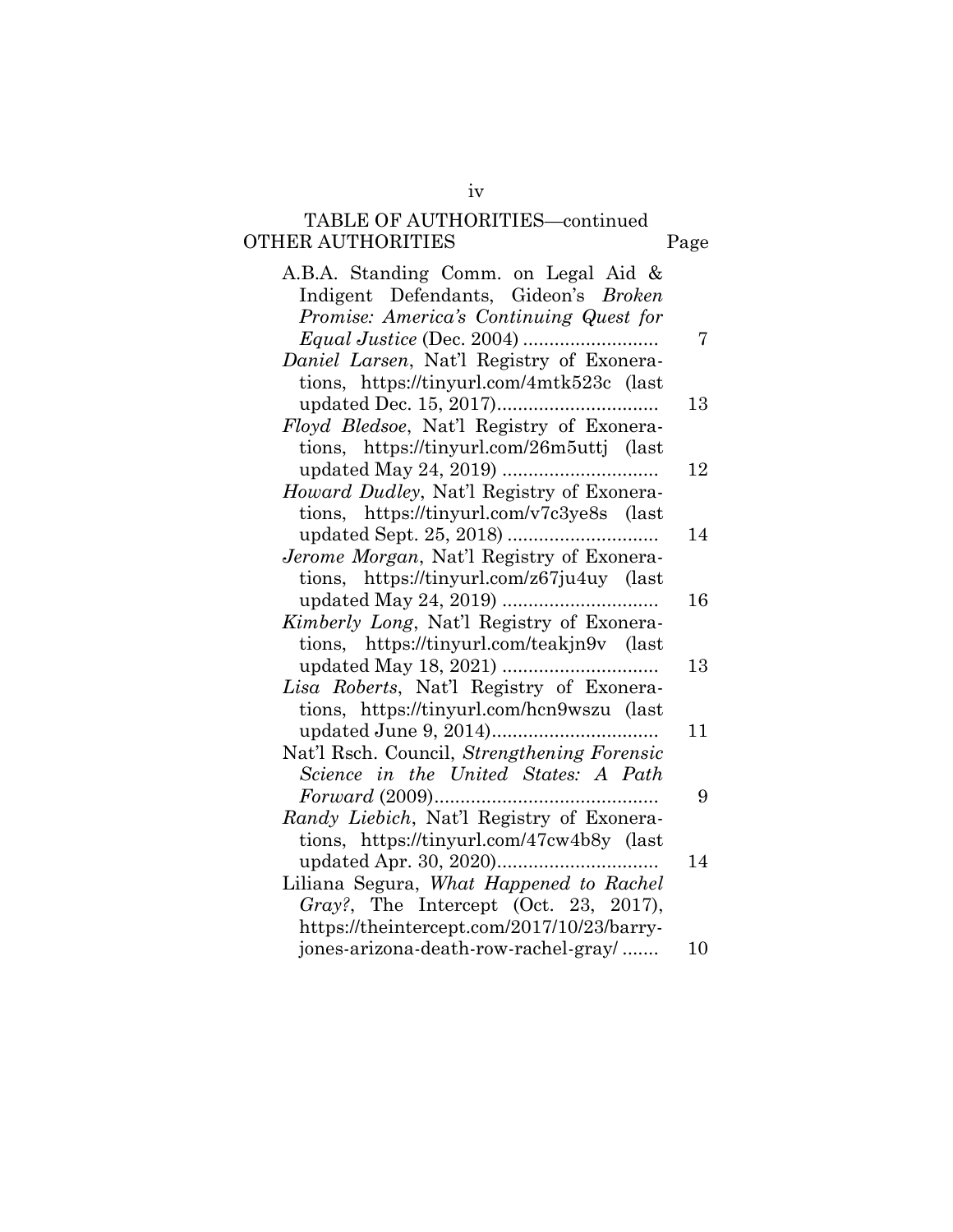### TABLE OF AUTHORITIES—continued OTHER AUTHORITIES Page

| A.B.A. Standing Comm. on Legal Aid &        |    |
|---------------------------------------------|----|
| Indigent Defendants, Gideon's Broken        |    |
| Promise: America's Continuing Quest for     |    |
|                                             | 7  |
| Daniel Larsen, Nat'l Registry of Exonera-   |    |
| tions, https://tinyurl.com/4mtk523c (last   |    |
|                                             | 13 |
| Floyd Bledsoe, Nat'l Registry of Exonera-   |    |
| tions, https://tinyurl.com/26m5uttj (last   |    |
|                                             | 12 |
| Howard Dudley, Nat'l Registry of Exonera-   |    |
| tions, https://tinyurl.com/v7c3ye8s (last   |    |
|                                             | 14 |
| Jerome Morgan, Nat'l Registry of Exonera-   |    |
| tions, https://tinyurl.com/z67ju4uy (last   |    |
|                                             | 16 |
| Kimberly Long, Nat'l Registry of Exonera-   |    |
| tions, https://tinyurl.com/teakjn9v (last   |    |
|                                             | 13 |
| Lisa Roberts, Nat'l Registry of Exonera-    |    |
| tions, https://tinyurl.com/hcn9wszu (last   |    |
|                                             | 11 |
| Nat'l Rsch. Council, Strengthening Forensic |    |
| Science in the United States: A Path        |    |
|                                             | 9  |
| Randy Liebich, Nat'l Registry of Exonera-   |    |
| tions, https://tinyurl.com/47cw4b8y (last   |    |
|                                             | 14 |
| Liliana Segura, What Happened to Rachel     |    |
| Gray?, The Intercept (Oct. 23, 2017),       |    |
| https://theintercept.com/2017/10/23/barry-  |    |
| jones-arizona-death-row-rachel-gray/        | 10 |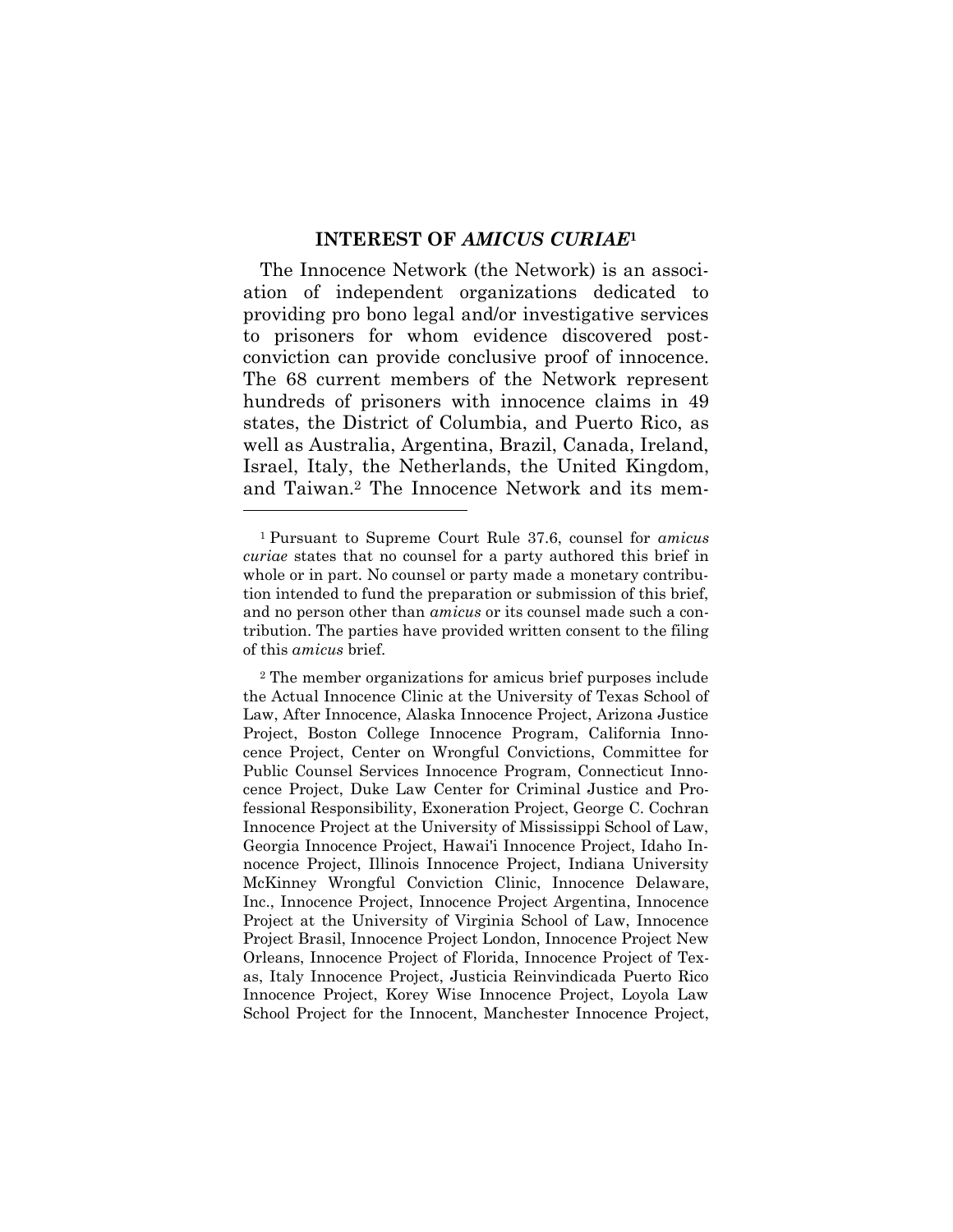#### **INTEREST OF** *AMICUS CURIAE***<sup>1</sup>**

<span id="page-5-0"></span>The Innocence Network (the Network) is an association of independent organizations dedicated to providing pro bono legal and/or investigative services to prisoners for whom evidence discovered postconviction can provide conclusive proof of innocence. The 68 current members of the Network represent hundreds of prisoners with innocence claims in 49 states, the District of Columbia, and Puerto Rico, as well as Australia, Argentina, Brazil, Canada, Ireland, Israel, Italy, the Netherlands, the United Kingdom, and Taiwan.<sup>2</sup> The Innocence Network and its mem-

<sup>1</sup> Pursuant to Supreme Court Rule 37.6, counsel for *amicus curiae* states that no counsel for a party authored this brief in whole or in part. No counsel or party made a monetary contribution intended to fund the preparation or submission of this brief, and no person other than *amicus* or its counsel made such a contribution. The parties have provided written consent to the filing of this *amicus* brief.

<sup>2</sup> The member organizations for amicus brief purposes include the Actual Innocence Clinic at the University of Texas School of Law, After Innocence, Alaska Innocence Project, Arizona Justice Project, Boston College Innocence Program, California Innocence Project, Center on Wrongful Convictions, Committee for Public Counsel Services Innocence Program, Connecticut Innocence Project, Duke Law Center for Criminal Justice and Professional Responsibility, Exoneration Project, George C. Cochran Innocence Project at the University of Mississippi School of Law, Georgia Innocence Project, Hawai'i Innocence Project, Idaho Innocence Project, Illinois Innocence Project, Indiana University McKinney Wrongful Conviction Clinic, Innocence Delaware, Inc., Innocence Project, Innocence Project Argentina, Innocence Project at the University of Virginia School of Law, Innocence Project Brasil, Innocence Project London, Innocence Project New Orleans, Innocence Project of Florida, Innocence Project of Texas, Italy Innocence Project, Justicia Reinvindicada Puerto Rico Innocence Project, Korey Wise Innocence Project, Loyola Law School Project for the Innocent, Manchester Innocence Project,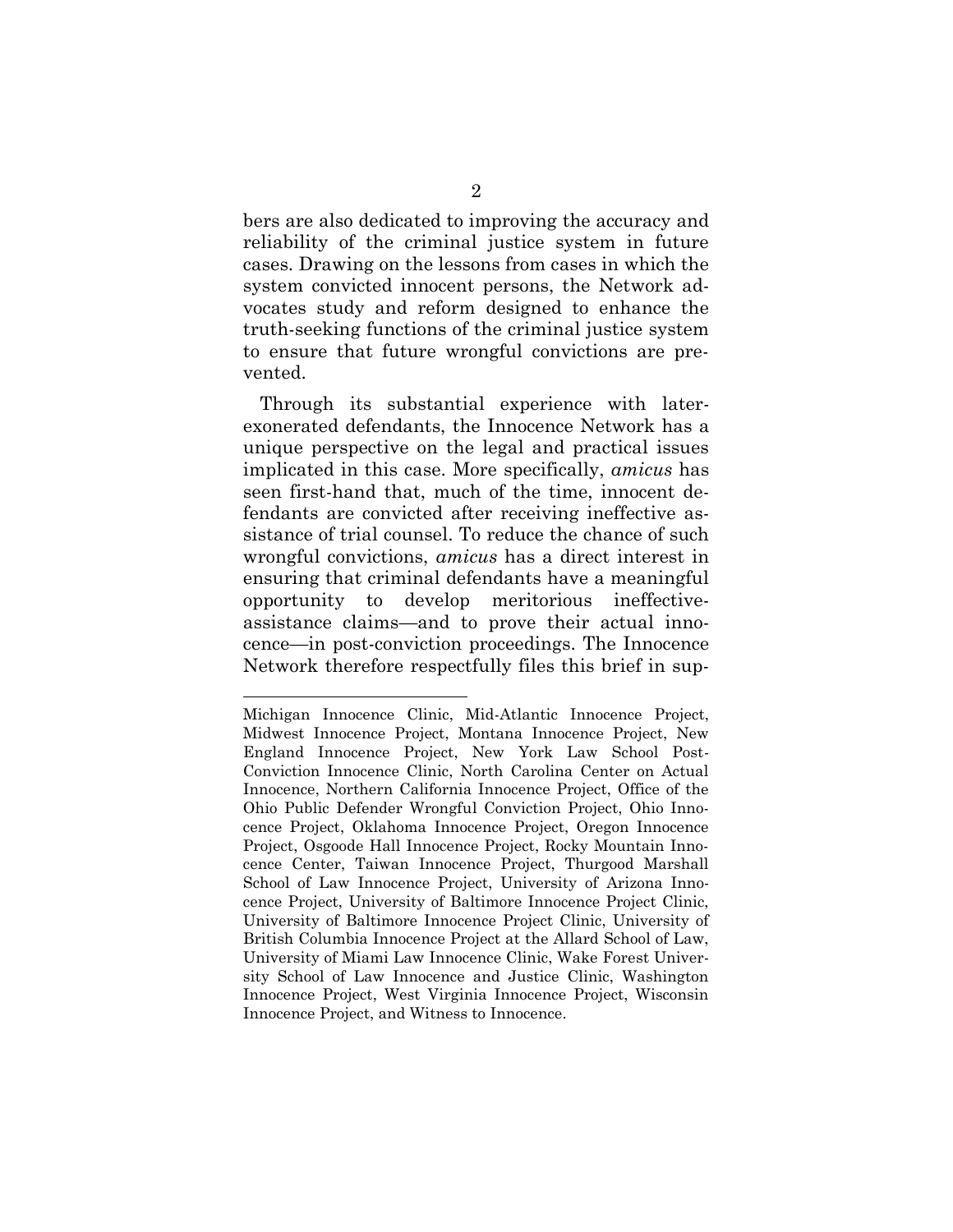bers are also dedicated to improving the accuracy and reliability of the criminal justice system in future cases. Drawing on the lessons from cases in which the system convicted innocent persons, the Network advocates study and reform designed to enhance the truth-seeking functions of the criminal justice system to ensure that future wrongful convictions are prevented.

Through its substantial experience with laterexonerated defendants, the Innocence Network has a unique perspective on the legal and practical issues implicated in this case. More specifically, *amicus* has seen first-hand that, much of the time, innocent defendants are convicted after receiving ineffective assistance of trial counsel. To reduce the chance of such wrongful convictions, *amicus* has a direct interest in ensuring that criminal defendants have a meaningful opportunity to develop meritorious ineffectiveassistance claims—and to prove their actual innocence—in post-conviction proceedings. The Innocence Network therefore respectfully files this brief in sup-

Michigan Innocence Clinic, Mid-Atlantic Innocence Project, Midwest Innocence Project, Montana Innocence Project, New England Innocence Project, New York Law School Post-Conviction Innocence Clinic, North Carolina Center on Actual Innocence, Northern California Innocence Project, Office of the Ohio Public Defender Wrongful Conviction Project, Ohio Innocence Project, Oklahoma Innocence Project, Oregon Innocence Project, Osgoode Hall Innocence Project, Rocky Mountain Innocence Center, Taiwan Innocence Project, Thurgood Marshall School of Law Innocence Project, University of Arizona Innocence Project, University of Baltimore Innocence Project Clinic, University of Baltimore Innocence Project Clinic, University of British Columbia Innocence Project at the Allard School of Law, University of Miami Law Innocence Clinic, Wake Forest University School of Law Innocence and Justice Clinic, Washington Innocence Project, West Virginia Innocence Project, Wisconsin Innocence Project, and Witness to Innocence.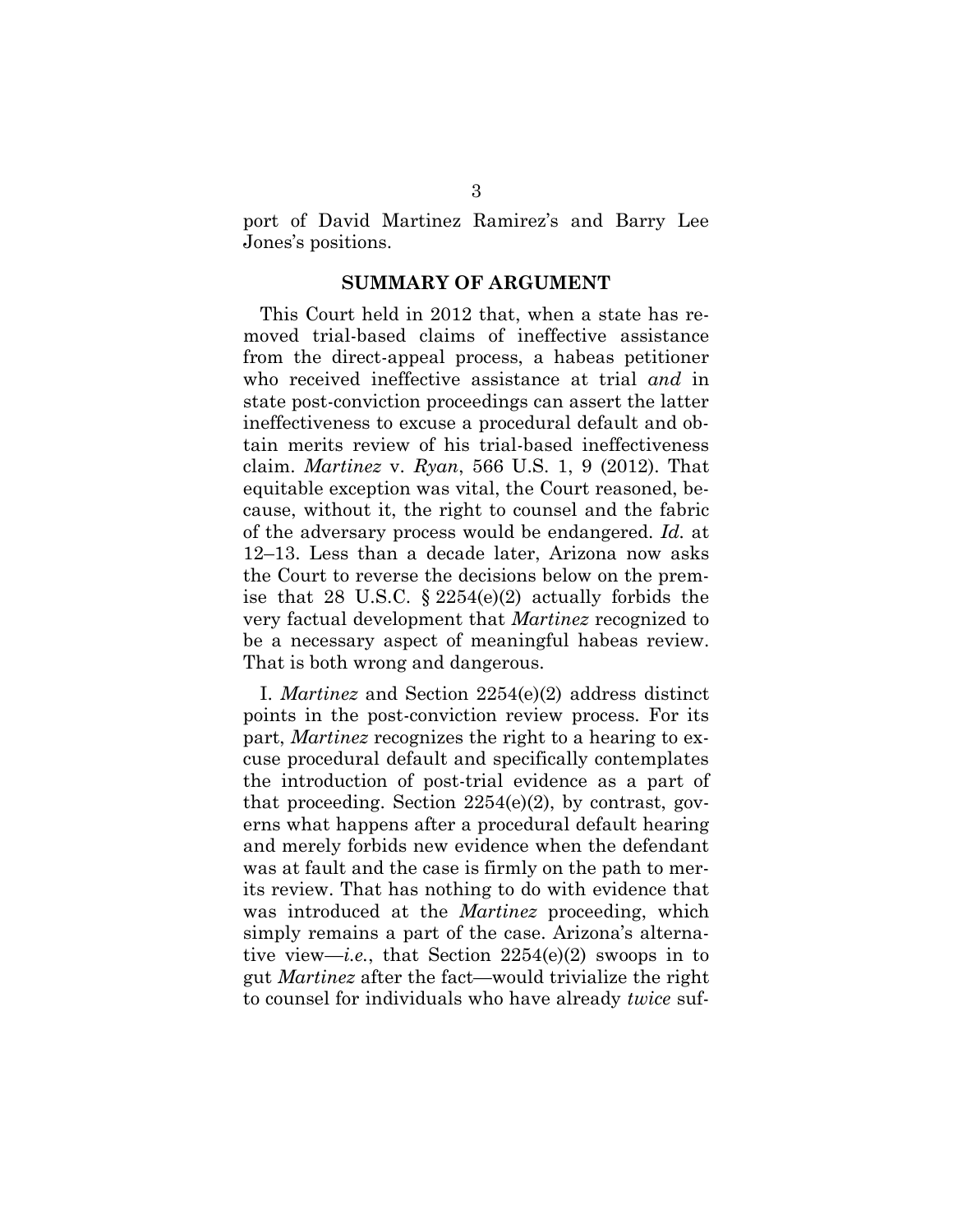<span id="page-7-0"></span>port of David Martinez Ramirez's and Barry Lee Jones's positions.

#### **SUMMARY OF ARGUMENT**

<span id="page-7-1"></span>This Court held in 2012 that, when a state has removed trial-based claims of ineffective assistance from the direct-appeal process, a habeas petitioner who received ineffective assistance at trial *and* in state post-conviction proceedings can assert the latter ineffectiveness to excuse a procedural default and obtain merits review of his trial-based ineffectiveness claim. *Martinez* v. *Ryan*, 566 U.S. 1, 9 (2012). That equitable exception was vital, the Court reasoned, because, without it, the right to counsel and the fabric of the adversary process would be endangered. *Id.* at 12–13. Less than a decade later, Arizona now asks the Court to reverse the decisions below on the premise that 28 U.S.C. § 2254(e)(2) actually forbids the very factual development that *Martinez* recognized to be a necessary aspect of meaningful habeas review. That is both wrong and dangerous.

I. *Martinez* and Section 2254(e)(2) address distinct points in the post-conviction review process. For its part, *Martinez* recognizes the right to a hearing to excuse procedural default and specifically contemplates the introduction of post-trial evidence as a part of that proceeding. Section  $2254(e)(2)$ , by contrast, governs what happens after a procedural default hearing and merely forbids new evidence when the defendant was at fault and the case is firmly on the path to merits review. That has nothing to do with evidence that was introduced at the *Martinez* proceeding, which simply remains a part of the case. Arizona's alternative view—*i.e.*, that Section 2254(e)(2) swoops in to gut *Martinez* after the fact—would trivialize the right to counsel for individuals who have already *twice* suf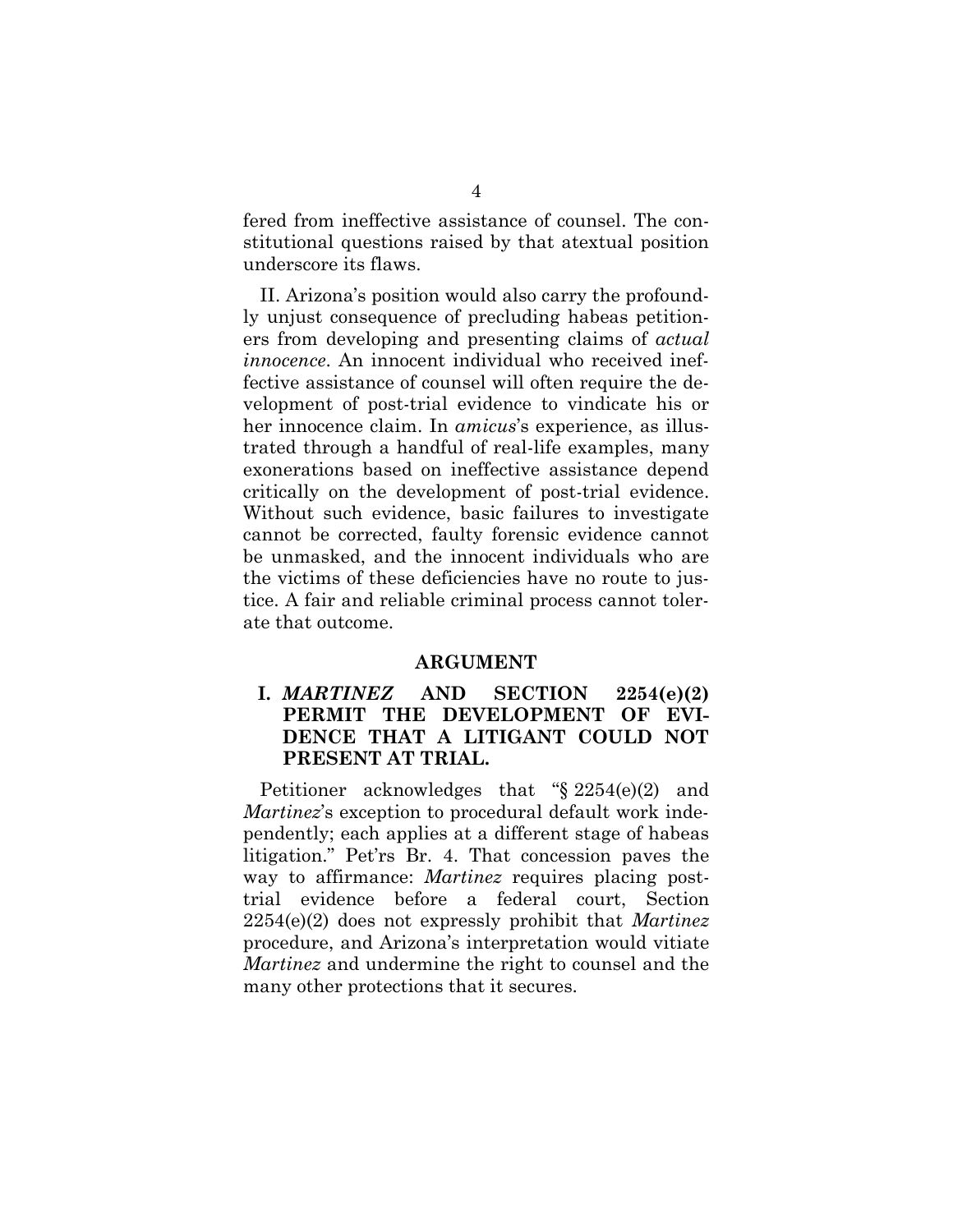fered from ineffective assistance of counsel. The constitutional questions raised by that atextual position underscore its flaws.

II. Arizona's position would also carry the profoundly unjust consequence of precluding habeas petitioners from developing and presenting claims of *actual innocence*. An innocent individual who received ineffective assistance of counsel will often require the development of post-trial evidence to vindicate his or her innocence claim. In *amicus*'s experience, as illustrated through a handful of real-life examples, many exonerations based on ineffective assistance depend critically on the development of post-trial evidence. Without such evidence, basic failures to investigate cannot be corrected, faulty forensic evidence cannot be unmasked, and the innocent individuals who are the victims of these deficiencies have no route to justice. A fair and reliable criminal process cannot tolerate that outcome.

#### **ARGUMENT**

# <span id="page-8-1"></span><span id="page-8-0"></span>**I.** *MARTINEZ* **AND SECTION 2254(e)(2) PERMIT THE DEVELOPMENT OF EVI-DENCE THAT A LITIGANT COULD NOT PRESENT AT TRIAL.**

Petitioner acknowledges that "§ 2254(e)(2) and *Martinez*'s exception to procedural default work independently; each applies at a different stage of habeas litigation." Pet'rs Br. 4. That concession paves the way to affirmance: *Martinez* requires placing posttrial evidence before a federal court, Section 2254(e)(2) does not expressly prohibit that *Martinez*  procedure, and Arizona's interpretation would vitiate *Martinez* and undermine the right to counsel and the many other protections that it secures.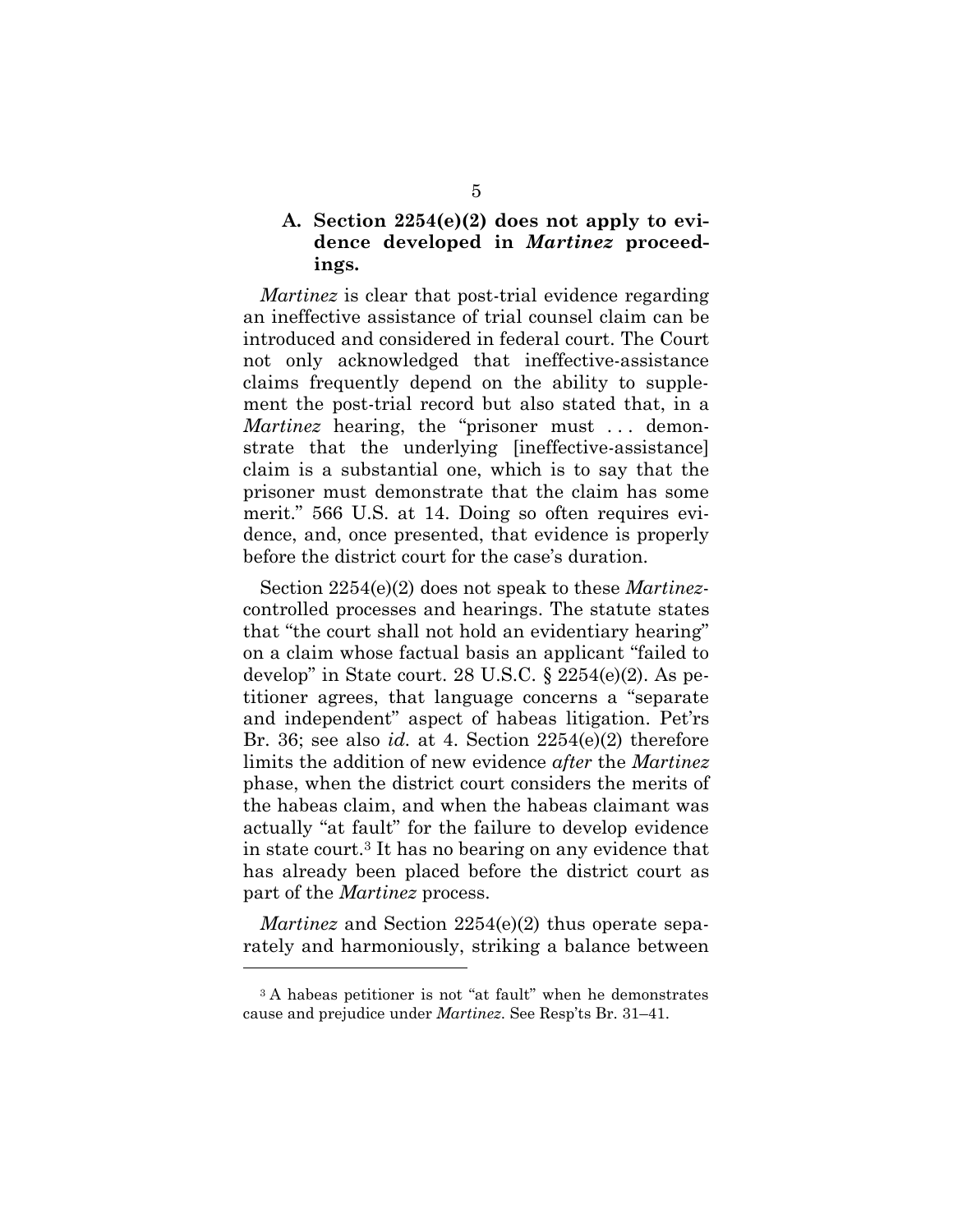## <span id="page-9-0"></span>**A. Section 2254(e)(2) does not apply to evidence developed in** *Martinez* **proceedings.**

*Martinez* is clear that post-trial evidence regarding an ineffective assistance of trial counsel claim can be introduced and considered in federal court. The Court not only acknowledged that ineffective-assistance claims frequently depend on the ability to supplement the post-trial record but also stated that, in a *Martinez* hearing, the "prisoner must ... demonstrate that the underlying [ineffective-assistance] claim is a substantial one, which is to say that the prisoner must demonstrate that the claim has some merit." 566 U.S. at 14. Doing so often requires evidence, and, once presented, that evidence is properly before the district court for the case's duration.

<span id="page-9-2"></span><span id="page-9-1"></span>Section 2254(e)(2) does not speak to these *Martinez*controlled processes and hearings. The statute states that "the court shall not hold an evidentiary hearing" on a claim whose factual basis an applicant "failed to develop" in State court. 28 U.S.C. § 2254(e)(2). As petitioner agrees, that language concerns a "separate and independent" aspect of habeas litigation. Pet'rs Br. 36; see also *id.* at 4. Section 2254(e)(2) therefore limits the addition of new evidence *after* the *Martinez* phase, when the district court considers the merits of the habeas claim, and when the habeas claimant was actually "at fault" for the failure to develop evidence in state court.<sup>3</sup> It has no bearing on any evidence that has already been placed before the district court as part of the *Martinez* process.

*Martinez* and Section 2254(e)(2) thus operate separately and harmoniously, striking a balance between

<sup>3</sup> A habeas petitioner is not "at fault" when he demonstrates cause and prejudice under *Martinez*. See Resp'ts Br. 31–41.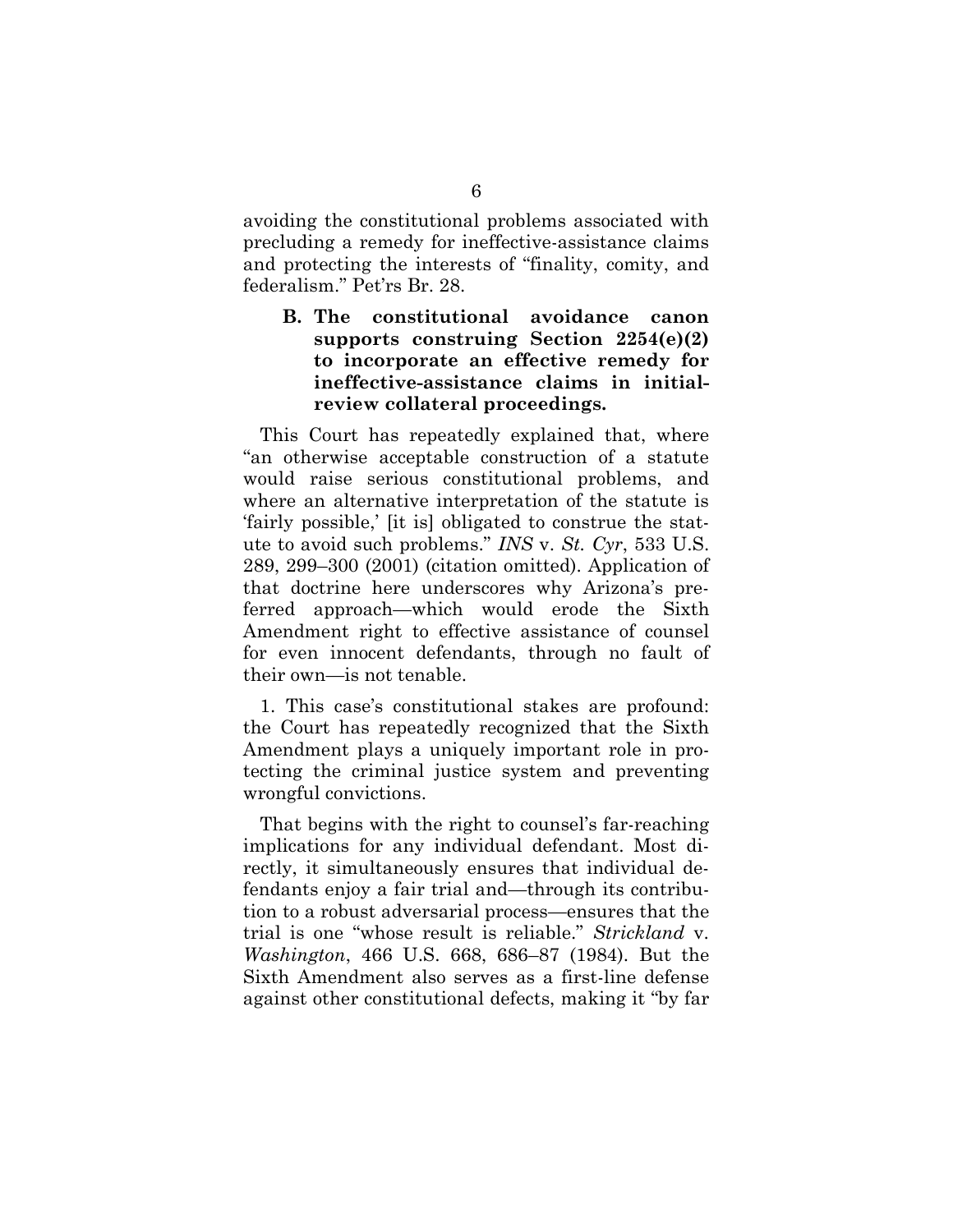avoiding the constitutional problems associated with precluding a remedy for ineffective-assistance claims and protecting the interests of "finality, comity, and federalism." Pet'rs Br. 28.

# <span id="page-10-0"></span>**B. The constitutional avoidance canon supports construing Section 2254(e)(2) to incorporate an effective remedy for ineffective-assistance claims in initialreview collateral proceedings.**

<span id="page-10-1"></span>This Court has repeatedly explained that, where "an otherwise acceptable construction of a statute would raise serious constitutional problems, and where an alternative interpretation of the statute is 'fairly possible,' [it is] obligated to construe the statute to avoid such problems." *INS* v. *St. Cyr*, 533 U.S. 289, 299–300 (2001) (citation omitted). Application of that doctrine here underscores why Arizona's preferred approach—which would erode the Sixth Amendment right to effective assistance of counsel for even innocent defendants, through no fault of their own—is not tenable.

1. This case's constitutional stakes are profound: the Court has repeatedly recognized that the Sixth Amendment plays a uniquely important role in protecting the criminal justice system and preventing wrongful convictions.

<span id="page-10-2"></span>That begins with the right to counsel's far-reaching implications for any individual defendant. Most directly, it simultaneously ensures that individual defendants enjoy a fair trial and—through its contribution to a robust adversarial process—ensures that the trial is one "whose result is reliable." *Strickland* v. *Washington*, 466 U.S. 668, 686–87 (1984). But the Sixth Amendment also serves as a first-line defense against other constitutional defects, making it "by far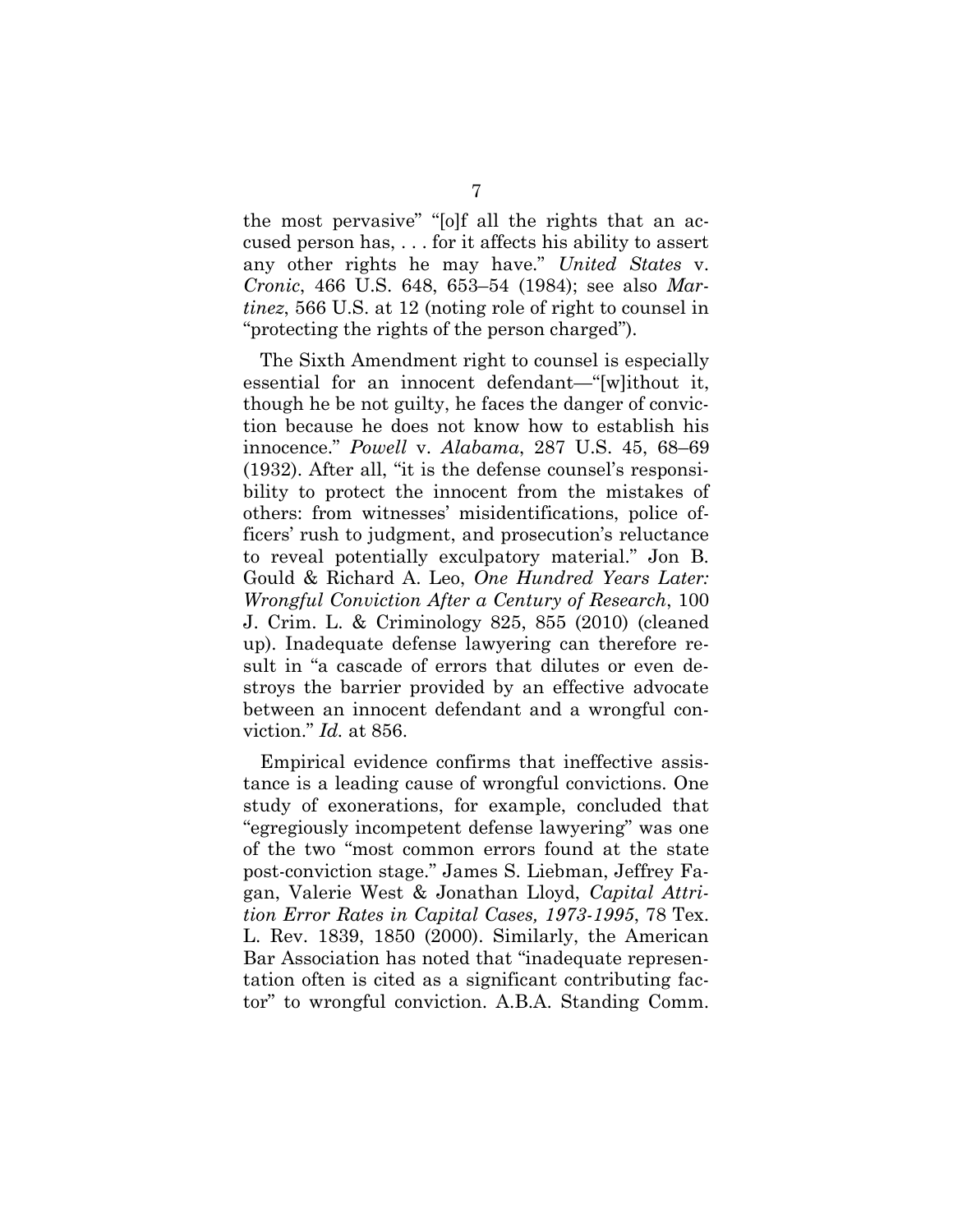<span id="page-11-2"></span><span id="page-11-0"></span>the most pervasive" "[o]f all the rights that an accused person has, . . . for it affects his ability to assert any other rights he may have." *United States* v. *Cronic*, 466 U.S. 648, 653–54 (1984); see also *Martinez*, 566 U.S. at 12 (noting role of right to counsel in "protecting the rights of the person charged").

<span id="page-11-3"></span><span id="page-11-1"></span>The Sixth Amendment right to counsel is especially essential for an innocent defendant—"[w]ithout it, though he be not guilty, he faces the danger of conviction because he does not know how to establish his innocence." *Powell* v. *Alabama*, 287 U.S. 45, 68–69 (1932). After all, "it is the defense counsel's responsibility to protect the innocent from the mistakes of others: from witnesses' misidentifications, police officers' rush to judgment, and prosecution's reluctance to reveal potentially exculpatory material." Jon B. Gould & Richard A. Leo, *One Hundred Years Later: Wrongful Conviction After a Century of Research*, 100 J. Crim. L. & Criminology 825, 855 (2010) (cleaned up). Inadequate defense lawyering can therefore result in "a cascade of errors that dilutes or even destroys the barrier provided by an effective advocate between an innocent defendant and a wrongful conviction." *Id.* at 856.

<span id="page-11-5"></span><span id="page-11-4"></span>Empirical evidence confirms that ineffective assistance is a leading cause of wrongful convictions. One study of exonerations, for example, concluded that "egregiously incompetent defense lawyering" was one of the two "most common errors found at the state post-conviction stage." James S. Liebman, Jeffrey Fagan, Valerie West & Jonathan Lloyd, *Capital Attrition Error Rates in Capital Cases, 1973-1995*, 78 Tex. L. Rev. 1839, 1850 (2000). Similarly, the American Bar Association has noted that "inadequate representation often is cited as a significant contributing factor" to wrongful conviction. A.B.A. Standing Comm.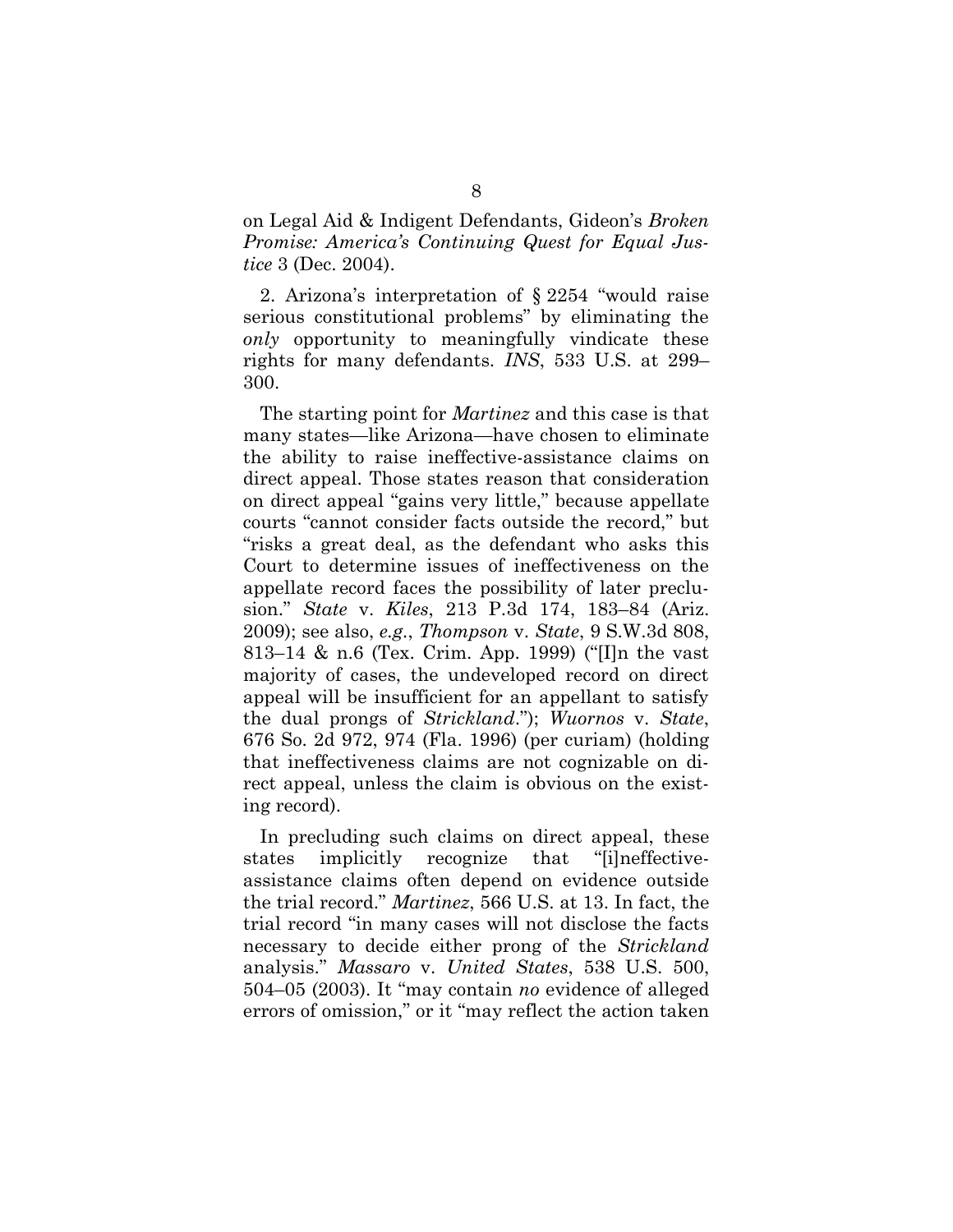on Legal Aid & Indigent Defendants, Gideon's *Broken Promise: America's Continuing Quest for Equal Justice* 3 (Dec. 2004).

2. Arizona's interpretation of § 2254 "would raise serious constitutional problems" by eliminating the *only* opportunity to meaningfully vindicate these rights for many defendants. *INS*, 533 U.S. at 299– 300.

<span id="page-12-3"></span><span id="page-12-0"></span>The starting point for *Martinez* and this case is that many states—like Arizona—have chosen to eliminate the ability to raise ineffective-assistance claims on direct appeal. Those states reason that consideration on direct appeal "gains very little," because appellate courts "cannot consider facts outside the record," but "risks a great deal, as the defendant who asks this Court to determine issues of ineffectiveness on the appellate record faces the possibility of later preclusion." *State* v. *Kiles*, 213 P.3d 174, 183–84 (Ariz. 2009); see also, *e.g.*, *Thompson* v. *State*, 9 S.W.3d 808, 813–14 & n.6 (Tex. Crim. App. 1999) ("[I]n the vast majority of cases, the undeveloped record on direct appeal will be insufficient for an appellant to satisfy the dual prongs of *Strickland*."); *Wuornos* v. *State*, 676 So. 2d 972, 974 (Fla. 1996) (per curiam) (holding that ineffectiveness claims are not cognizable on direct appeal, unless the claim is obvious on the existing record).

<span id="page-12-5"></span><span id="page-12-4"></span><span id="page-12-2"></span><span id="page-12-1"></span>In precluding such claims on direct appeal, these states implicitly recognize that "[i]neffectiveassistance claims often depend on evidence outside the trial record." *Martinez*, 566 U.S. at 13. In fact, the trial record "in many cases will not disclose the facts necessary to decide either prong of the *Strickland*  analysis." *Massaro* v. *United States*, 538 U.S. 500, 504–05 (2003). It "may contain *no* evidence of alleged errors of omission," or it "may reflect the action taken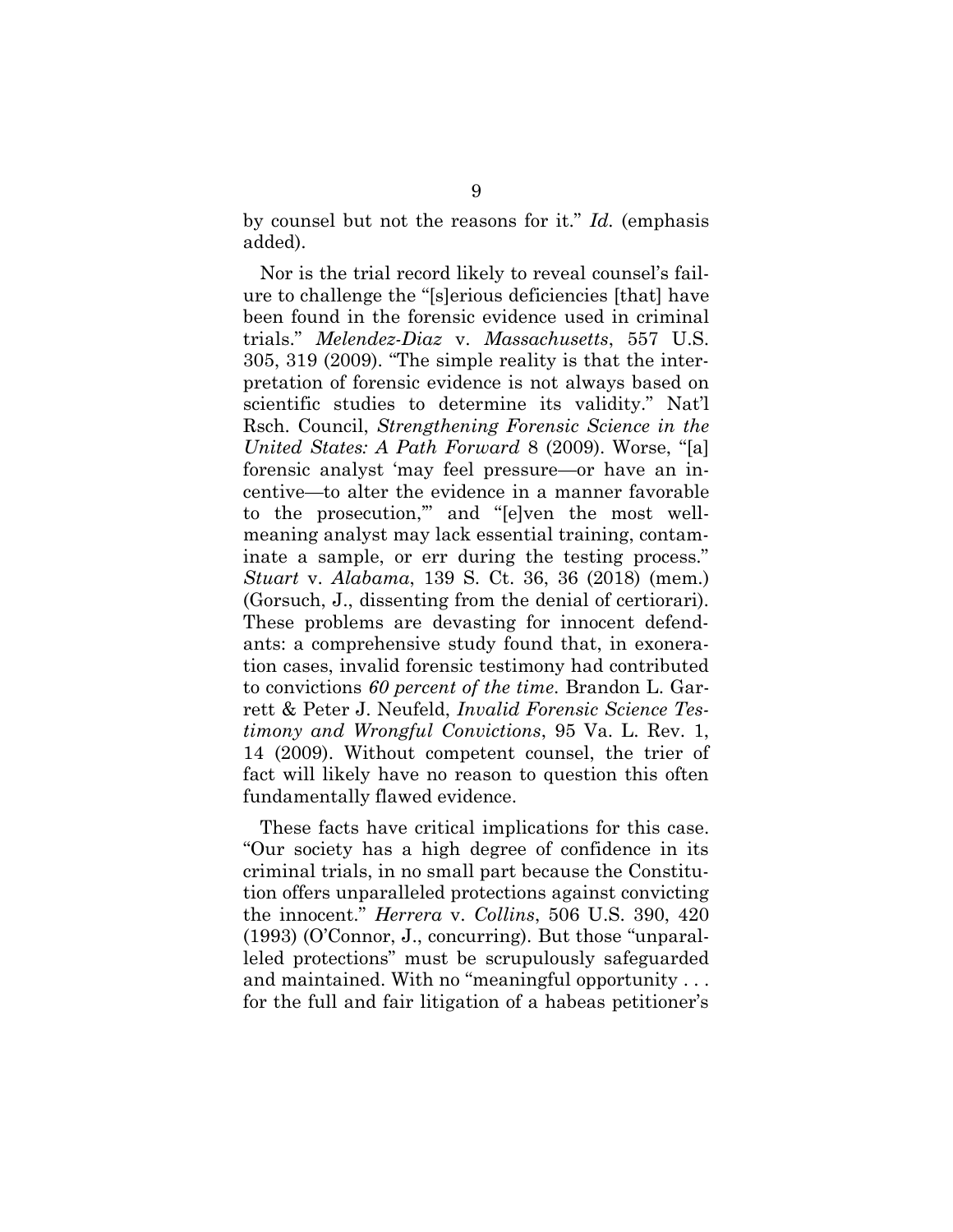<span id="page-13-1"></span>by counsel but not the reasons for it." *Id.* (emphasis added).

<span id="page-13-5"></span><span id="page-13-2"></span>Nor is the trial record likely to reveal counsel's failure to challenge the "[s]erious deficiencies [that] have been found in the forensic evidence used in criminal trials." *Melendez-Diaz* v. *Massachusetts*, 557 U.S. 305, 319 (2009). "The simple reality is that the interpretation of forensic evidence is not always based on scientific studies to determine its validity." Nat'l Rsch. Council, *Strengthening Forensic Science in the United States: A Path Forward* 8 (2009). Worse, "[a] forensic analyst 'may feel pressure—or have an incentive—to alter the evidence in a manner favorable to the prosecution,'" and "[e]ven the most wellmeaning analyst may lack essential training, contaminate a sample, or err during the testing process." *Stuart* v. *Alabama*, 139 S. Ct. 36, 36 (2018) (mem.) (Gorsuch, J., dissenting from the denial of certiorari). These problems are devasting for innocent defendants: a comprehensive study found that, in exoneration cases, invalid forensic testimony had contributed to convictions *60 percent of the time*. Brandon L. Garrett & Peter J. Neufeld, *Invalid Forensic Science Testimony and Wrongful Convictions*, 95 Va. L. Rev. 1, 14 (2009). Without competent counsel, the trier of fact will likely have no reason to question this often fundamentally flawed evidence.

<span id="page-13-4"></span><span id="page-13-3"></span><span id="page-13-0"></span>These facts have critical implications for this case. "Our society has a high degree of confidence in its criminal trials, in no small part because the Constitution offers unparalleled protections against convicting the innocent." *Herrera* v. *Collins*, 506 U.S. 390, 420 (1993) (O'Connor, J., concurring). But those "unparalleled protections" must be scrupulously safeguarded and maintained. With no "meaningful opportunity . . . for the full and fair litigation of a habeas petitioner's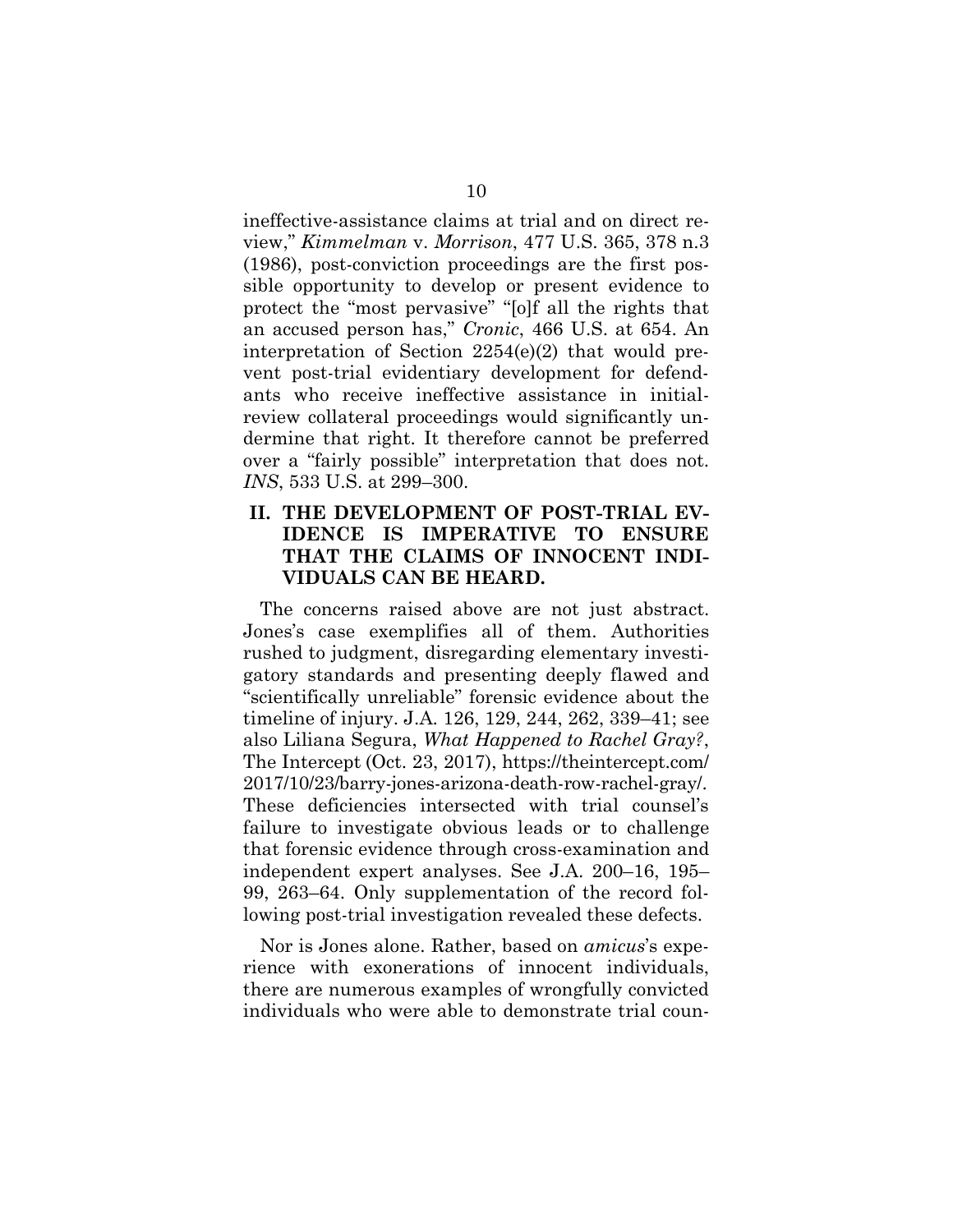<span id="page-14-3"></span><span id="page-14-2"></span>ineffective-assistance claims at trial and on direct review," *Kimmelman* v. *Morrison*, 477 U.S. 365, 378 n.3 (1986), post-conviction proceedings are the first possible opportunity to develop or present evidence to protect the "most pervasive" "[o]f all the rights that an accused person has," *Cronic*, 466 U.S. at 654. An interpretation of Section 2254(e)(2) that would prevent post-trial evidentiary development for defendants who receive ineffective assistance in initialreview collateral proceedings would significantly undermine that right. It therefore cannot be preferred over a "fairly possible" interpretation that does not. *INS*, 533 U.S. at 299–300.

## <span id="page-14-1"></span><span id="page-14-0"></span>**II. THE DEVELOPMENT OF POST-TRIAL EV-IDENCE IS IMPERATIVE TO ENSURE THAT THE CLAIMS OF INNOCENT INDI-VIDUALS CAN BE HEARD.**

<span id="page-14-4"></span>The concerns raised above are not just abstract. Jones's case exemplifies all of them. Authorities rushed to judgment, disregarding elementary investigatory standards and presenting deeply flawed and "scientifically unreliable" forensic evidence about the timeline of injury. J.A. 126, 129, 244, 262, 339–41; see also Liliana Segura, *What Happened to Rachel Gray?*, The Intercept (Oct. 23, 2017), https://theintercept.com/ 2017/10/23/barry-jones-arizona-death-row-rachel-gray/. These deficiencies intersected with trial counsel's failure to investigate obvious leads or to challenge that forensic evidence through cross-examination and independent expert analyses. See J.A. 200–16, 195– 99, 263–64. Only supplementation of the record following post-trial investigation revealed these defects.

Nor is Jones alone. Rather, based on *amicus*'s experience with exonerations of innocent individuals, there are numerous examples of wrongfully convicted individuals who were able to demonstrate trial coun-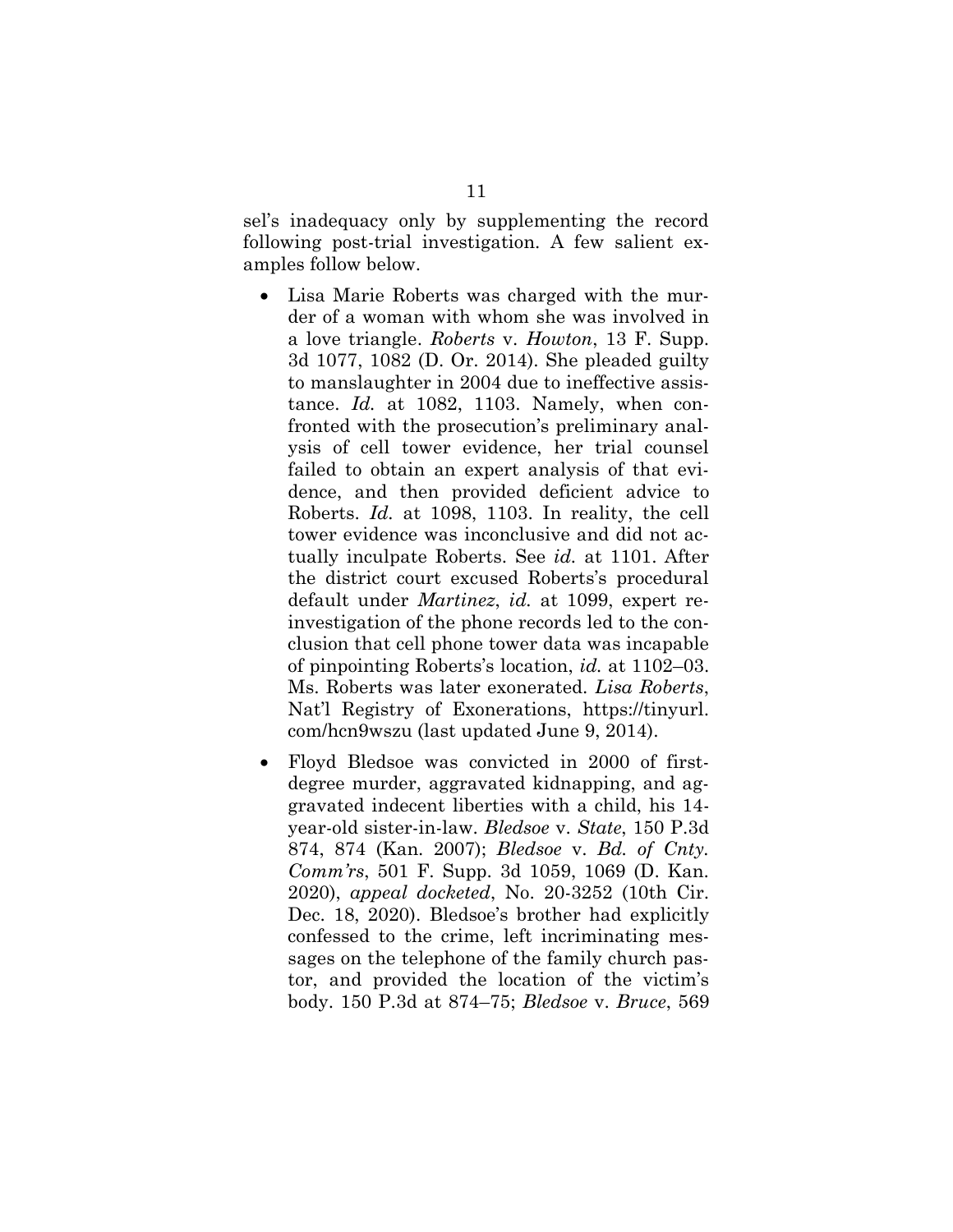sel's inadequacy only by supplementing the record following post-trial investigation. A few salient examples follow below.

- <span id="page-15-1"></span>• Lisa Marie Roberts was charged with the murder of a woman with whom she was involved in a love triangle. *Roberts* v. *Howton*, 13 F. Supp. 3d 1077, 1082 (D. Or. 2014). She pleaded guilty to manslaughter in 2004 due to ineffective assistance. *Id.* at 1082, 1103. Namely, when confronted with the prosecution's preliminary analysis of cell tower evidence, her trial counsel failed to obtain an expert analysis of that evidence, and then provided deficient advice to Roberts. *Id.* at 1098, 1103. In reality, the cell tower evidence was inconclusive and did not actually inculpate Roberts. See *id.* at 1101. After the district court excused Roberts's procedural default under *Martinez*, *id.* at 1099, expert reinvestigation of the phone records led to the conclusion that cell phone tower data was incapable of pinpointing Roberts's location, *id.* at 1102–03. Ms. Roberts was later exonerated. *Lisa Roberts*, Nat'l Registry of Exonerations, https://tinyurl. com/hcn9wszu (last updated June 9, 2014).
- <span id="page-15-0"></span>• Floyd Bledsoe was convicted in 2000 of firstdegree murder, aggravated kidnapping, and aggravated indecent liberties with a child, his 14 year-old sister-in-law. *Bledsoe* v. *State*, 150 P.3d 874, 874 (Kan. 2007); *Bledsoe* v. *Bd. of Cnty. Comm'rs*, 501 F. Supp. 3d 1059, 1069 (D. Kan. 2020), *appeal docketed*, No. 20-3252 (10th Cir. Dec. 18, 2020). Bledsoe's brother had explicitly confessed to the crime, left incriminating messages on the telephone of the family church pastor, and provided the location of the victim's body. 150 P.3d at 874–75; *Bledsoe* v. *Bruce*, 569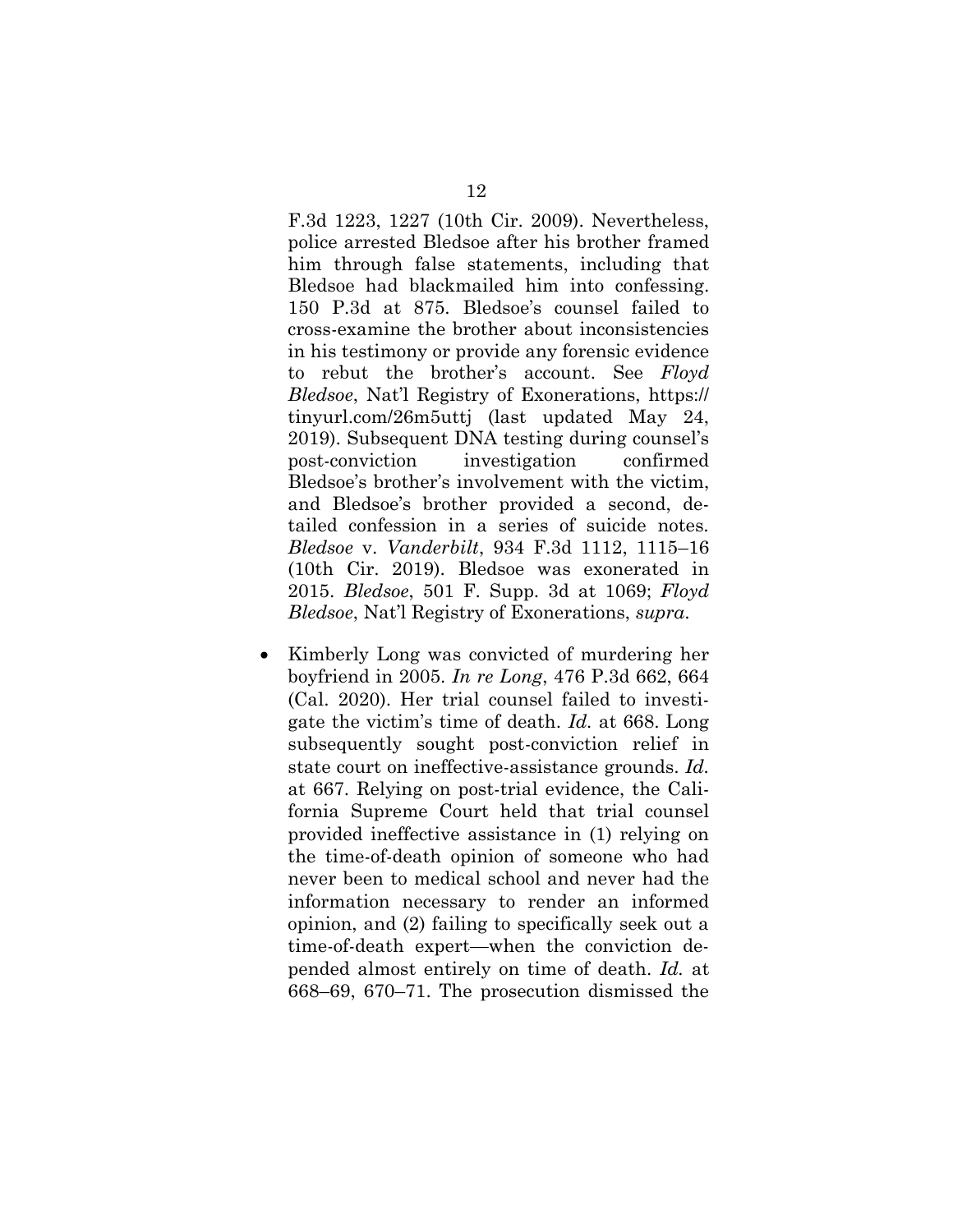F.3d 1223, 1227 (10th Cir. 2009). Nevertheless, police arrested Bledsoe after his brother framed him through false statements, including that Bledsoe had blackmailed him into confessing. 150 P.3d at 875. Bledsoe's counsel failed to cross-examine the brother about inconsistencies in his testimony or provide any forensic evidence to rebut the brother's account. See *Floyd Bledsoe*, Nat'l Registry of Exonerations, https:// tinyurl.com/26m5uttj (last updated May 24, 2019). Subsequent DNA testing during counsel's post-conviction investigation confirmed Bledsoe's brother's involvement with the victim, and Bledsoe's brother provided a second, detailed confession in a series of suicide notes. *Bledsoe* v. *Vanderbilt*, 934 F.3d 1112, 1115–16 (10th Cir. 2019). Bledsoe was exonerated in 2015. *Bledsoe*, 501 F. Supp. 3d at 1069; *Floyd Bledsoe*, Nat'l Registry of Exonerations, *supra*.

<span id="page-16-1"></span><span id="page-16-0"></span>• Kimberly Long was convicted of murdering her boyfriend in 2005. *In re Long*, 476 P.3d 662, 664 (Cal. 2020). Her trial counsel failed to investigate the victim's time of death. *Id.* at 668. Long subsequently sought post-conviction relief in state court on ineffective-assistance grounds. *Id.*  at 667. Relying on post-trial evidence, the California Supreme Court held that trial counsel provided ineffective assistance in (1) relying on the time-of-death opinion of someone who had never been to medical school and never had the information necessary to render an informed opinion, and (2) failing to specifically seek out a time-of-death expert—when the conviction depended almost entirely on time of death. *Id.* at 668–69, 670–71. The prosecution dismissed the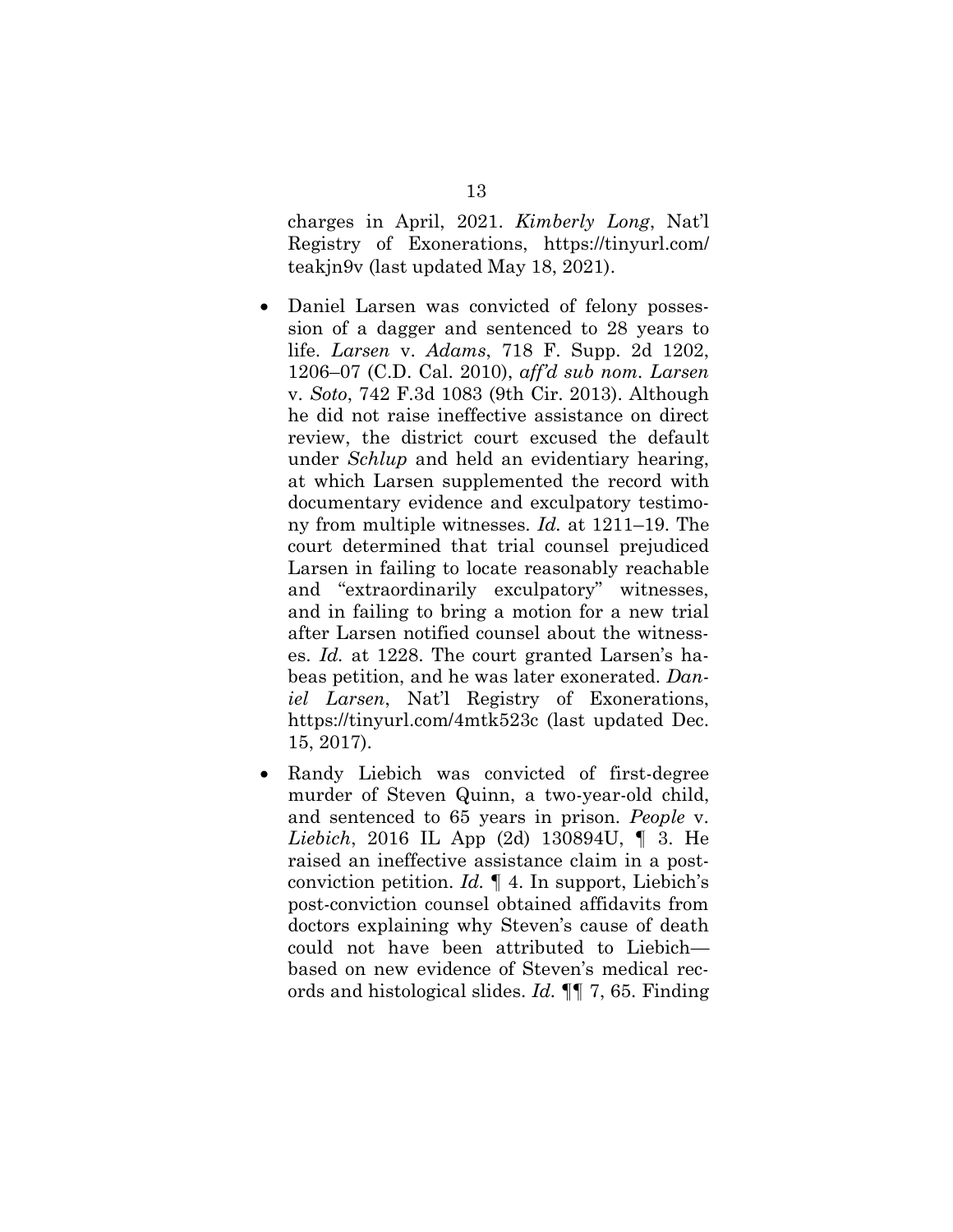<span id="page-17-2"></span>charges in April, 2021. *Kimberly Long*, Nat'l Registry of Exonerations, https://tinyurl.com/ teakjn9v (last updated May 18, 2021).

- <span id="page-17-0"></span>• Daniel Larsen was convicted of felony possession of a dagger and sentenced to 28 years to life. *Larsen* v. *Adams*, 718 F. Supp. 2d 1202, 1206–07 (C.D. Cal. 2010), *aff'd sub nom. Larsen* v. *Soto*, 742 F.3d 1083 (9th Cir. 2013). Although he did not raise ineffective assistance on direct review, the district court excused the default under *Schlup* and held an evidentiary hearing, at which Larsen supplemented the record with documentary evidence and exculpatory testimony from multiple witnesses. *Id.* at 1211–19. The court determined that trial counsel prejudiced Larsen in failing to locate reasonably reachable and "extraordinarily exculpatory" witnesses, and in failing to bring a motion for a new trial after Larsen notified counsel about the witnesses. *Id.* at 1228. The court granted Larsen's habeas petition, and he was later exonerated. *Daniel Larsen*, Nat'l Registry of Exonerations, https://tinyurl.com/4mtk523c (last updated Dec. 15, 2017).
- <span id="page-17-1"></span>• Randy Liebich was convicted of first-degree murder of Steven Quinn, a two-year-old child, and sentenced to 65 years in prison. *People* v. *Liebich*, 2016 IL App (2d) 130894U, ¶ 3. He raised an ineffective assistance claim in a postconviction petition. *Id.* ¶ 4. In support, Liebich's post-conviction counsel obtained affidavits from doctors explaining why Steven's cause of death could not have been attributed to Liebich based on new evidence of Steven's medical records and histological slides. *Id.* ¶¶ 7, 65. Finding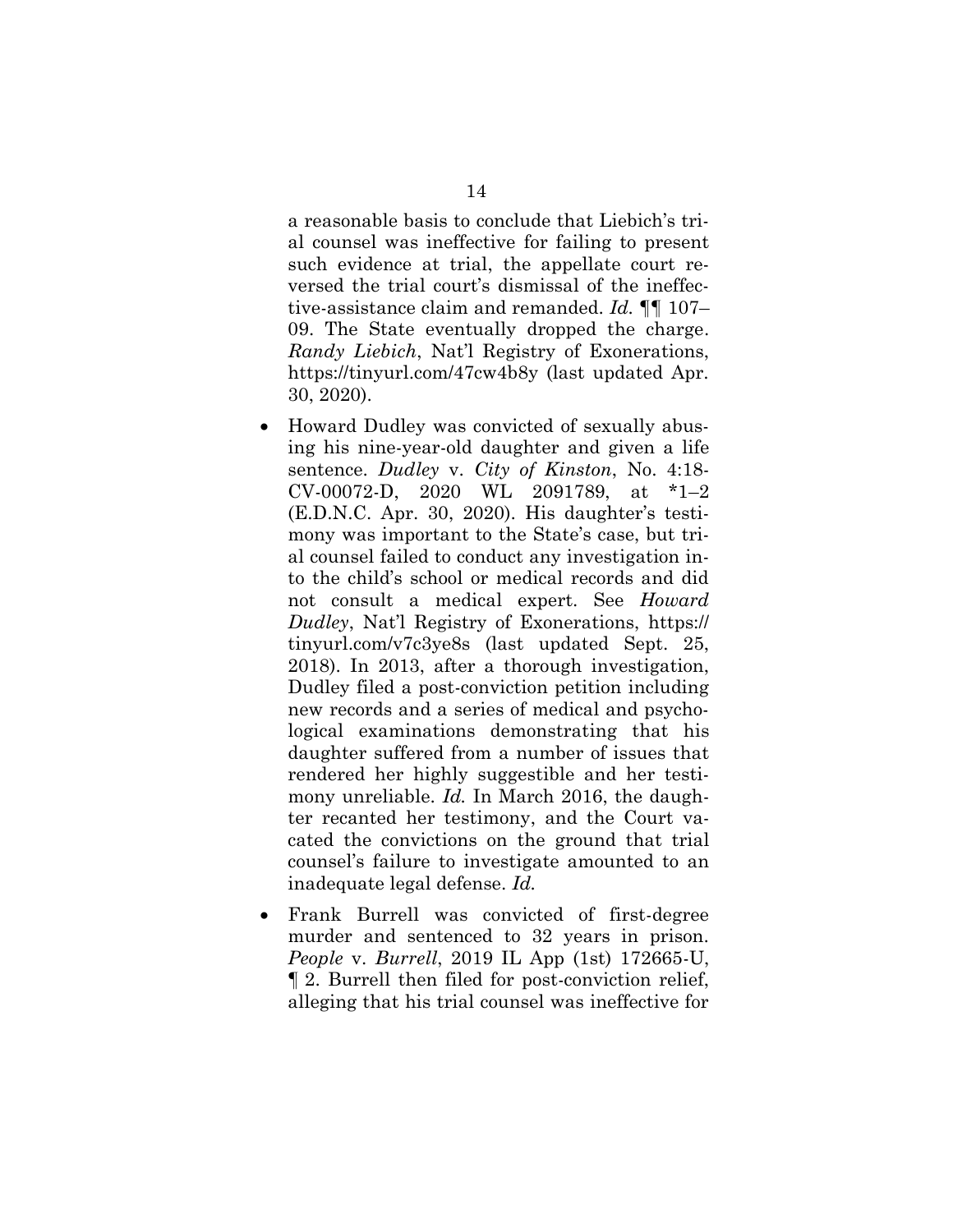a reasonable basis to conclude that Liebich's trial counsel was ineffective for failing to present such evidence at trial, the appellate court reversed the trial court's dismissal of the ineffective-assistance claim and remanded. *Id.* ¶¶ 107– 09. The State eventually dropped the charge. *Randy Liebich*, Nat'l Registry of Exonerations, https://tinyurl.com/47cw4b8y (last updated Apr. 30, 2020).

- <span id="page-18-0"></span>• Howard Dudley was convicted of sexually abusing his nine-year-old daughter and given a life sentence. *Dudley* v. *City of Kinston*, No. 4:18- CV-00072-D, 2020 WL 2091789, at \*1–2 (E.D.N.C. Apr. 30, 2020). His daughter's testimony was important to the State's case, but trial counsel failed to conduct any investigation into the child's school or medical records and did not consult a medical expert. See *Howard Dudley*, Nat'l Registry of Exonerations, https:// tinyurl.com/v7c3ye8s (last updated Sept. 25, 2018). In 2013, after a thorough investigation, Dudley filed a post-conviction petition including new records and a series of medical and psychological examinations demonstrating that his daughter suffered from a number of issues that rendered her highly suggestible and her testimony unreliable. *Id.* In March 2016, the daughter recanted her testimony, and the Court vacated the convictions on the ground that trial counsel's failure to investigate amounted to an inadequate legal defense. *Id.*
- <span id="page-18-1"></span>• Frank Burrell was convicted of first-degree murder and sentenced to 32 years in prison. *People* v. *Burrell*, 2019 IL App (1st) 172665-U, ¶ 2. Burrell then filed for post-conviction relief, alleging that his trial counsel was ineffective for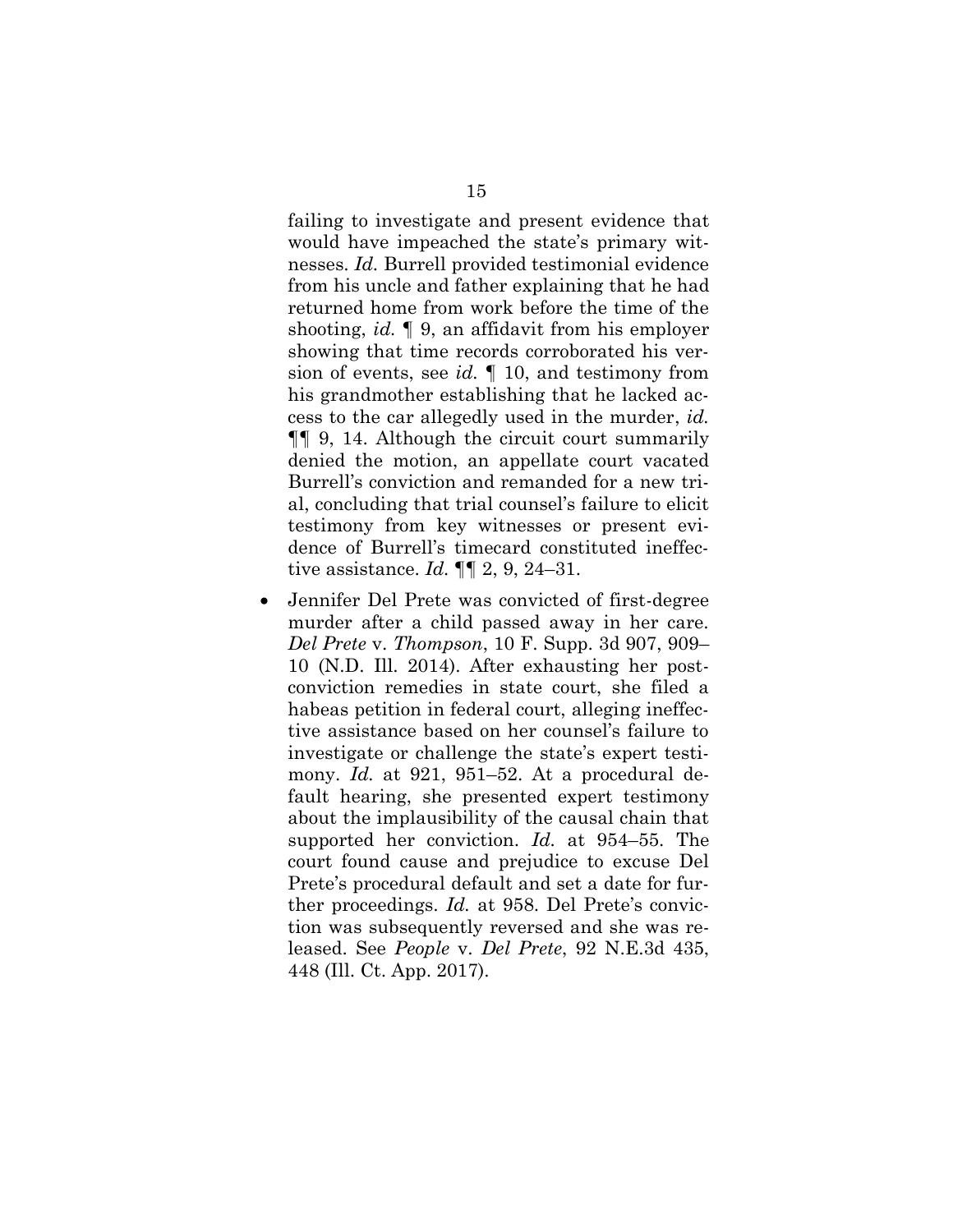<span id="page-19-1"></span>failing to investigate and present evidence that would have impeached the state's primary witnesses. *Id.* Burrell provided testimonial evidence from his uncle and father explaining that he had returned home from work before the time of the shooting, *id.* ¶ 9, an affidavit from his employer showing that time records corroborated his version of events, see *id.* ¶ 10, and testimony from his grandmother establishing that he lacked access to the car allegedly used in the murder, *id.* ¶¶ 9, 14. Although the circuit court summarily denied the motion, an appellate court vacated Burrell's conviction and remanded for a new trial, concluding that trial counsel's failure to elicit testimony from key witnesses or present evidence of Burrell's timecard constituted ineffective assistance. *Id.* ¶¶ 2, 9, 24–31.

<span id="page-19-2"></span><span id="page-19-0"></span>• Jennifer Del Prete was convicted of first-degree murder after a child passed away in her care. *Del Prete* v. *Thompson*, 10 F. Supp. 3d 907, 909– 10 (N.D. Ill. 2014). After exhausting her postconviction remedies in state court, she filed a habeas petition in federal court, alleging ineffective assistance based on her counsel's failure to investigate or challenge the state's expert testimony. *Id.* at 921, 951–52. At a procedural default hearing, she presented expert testimony about the implausibility of the causal chain that supported her conviction. *Id.* at 954–55. The court found cause and prejudice to excuse Del Prete's procedural default and set a date for further proceedings. *Id.* at 958. Del Prete's conviction was subsequently reversed and she was released. See *People* v. *Del Prete*, 92 N.E.3d 435, 448 (Ill. Ct. App. 2017).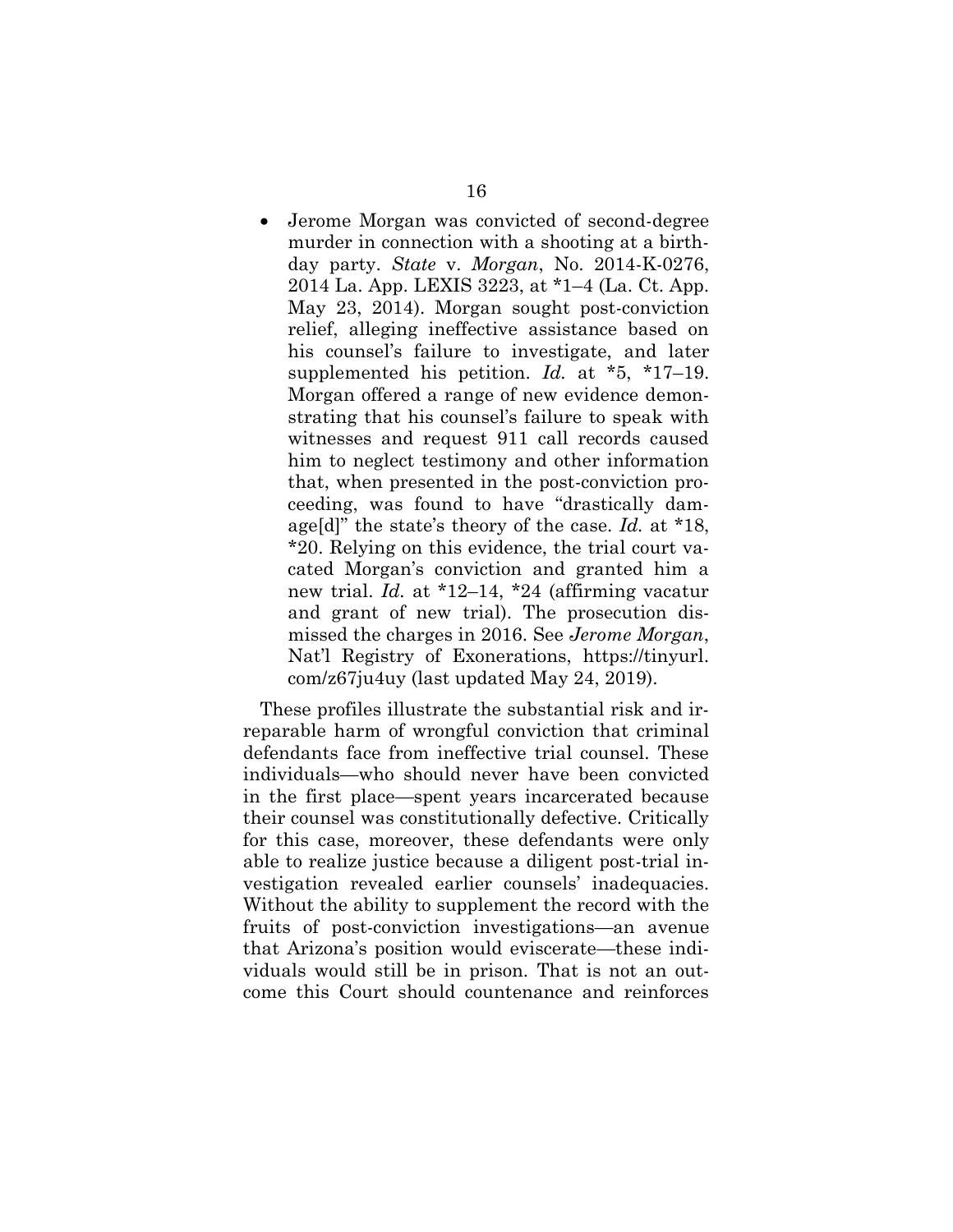<span id="page-20-0"></span>• Jerome Morgan was convicted of second-degree murder in connection with a shooting at a birthday party. *State* v. *Morgan*, No. 2014-K-0276, 2014 La. App. LEXIS 3223, at \*1–4 (La. Ct. App. May 23, 2014). Morgan sought post-conviction relief, alleging ineffective assistance based on his counsel's failure to investigate, and later supplemented his petition. *Id.* at \*5, \*17–19. Morgan offered a range of new evidence demonstrating that his counsel's failure to speak with witnesses and request 911 call records caused him to neglect testimony and other information that, when presented in the post-conviction proceeding, was found to have "drastically damage[d]" the state's theory of the case. *Id.* at \*18, \*20. Relying on this evidence, the trial court vacated Morgan's conviction and granted him a new trial. *Id.* at \*12–14, \*24 (affirming vacatur and grant of new trial). The prosecution dismissed the charges in 2016. See *Jerome Morgan*, Nat'l Registry of Exonerations, https://tinyurl. com/z67ju4uy (last updated May 24, 2019).

These profiles illustrate the substantial risk and irreparable harm of wrongful conviction that criminal defendants face from ineffective trial counsel. These individuals—who should never have been convicted in the first place—spent years incarcerated because their counsel was constitutionally defective. Critically for this case, moreover, these defendants were only able to realize justice because a diligent post-trial investigation revealed earlier counsels' inadequacies. Without the ability to supplement the record with the fruits of post-conviction investigations—an avenue that Arizona's position would eviscerate—these individuals would still be in prison. That is not an outcome this Court should countenance and reinforces